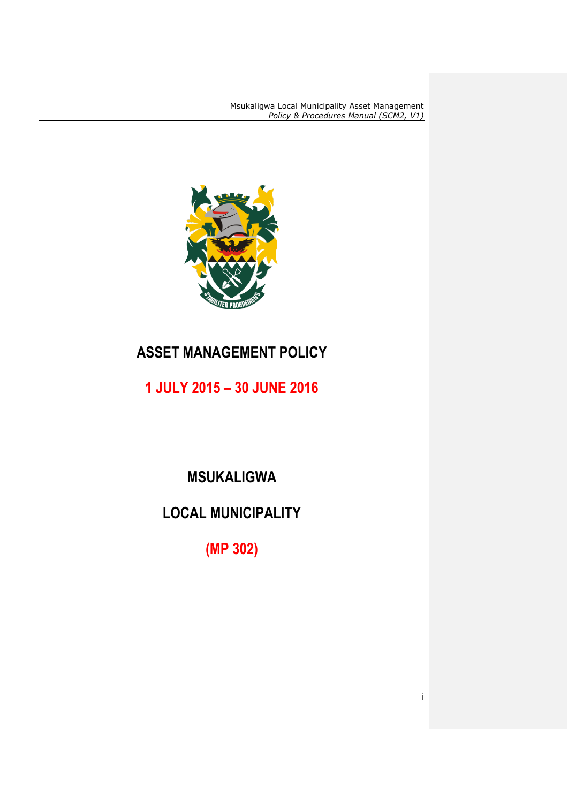i



## **ASSET MANAGEMENT POLICY**

**1 JULY 2015 – 30 JUNE 2016**

## **MSUKALIGWA**

# **LOCAL MUNICIPALITY**

**(MP 302)**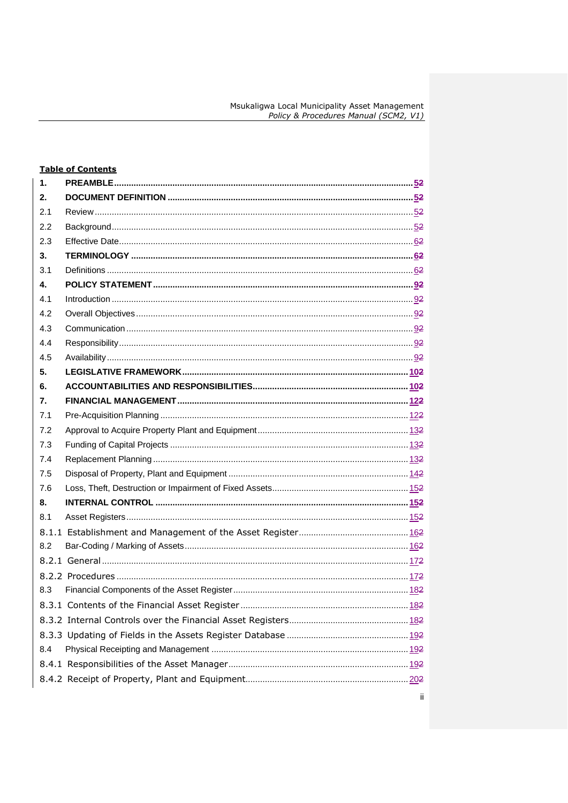|     | <b>Table of Contents</b> |  |
|-----|--------------------------|--|
| 1.  |                          |  |
| 2.  |                          |  |
| 2.1 |                          |  |
| 2.2 |                          |  |
| 2.3 |                          |  |
| 3.  |                          |  |
| 3.1 |                          |  |
| 4.  |                          |  |
| 4.1 |                          |  |
| 4.2 |                          |  |
| 4.3 |                          |  |
| 4.4 |                          |  |
| 4.5 |                          |  |
| 5.  |                          |  |
| 6.  |                          |  |
| 7.  |                          |  |
| 7.1 |                          |  |
| 7.2 |                          |  |
| 7.3 |                          |  |
| 7.4 |                          |  |
| 7.5 |                          |  |
| 7.6 |                          |  |
| 8.  |                          |  |
| 8.1 |                          |  |
|     |                          |  |
| 8.2 |                          |  |
|     |                          |  |
|     |                          |  |
|     |                          |  |
|     |                          |  |
|     |                          |  |
|     |                          |  |
| 8.4 |                          |  |
|     |                          |  |
|     |                          |  |
|     |                          |  |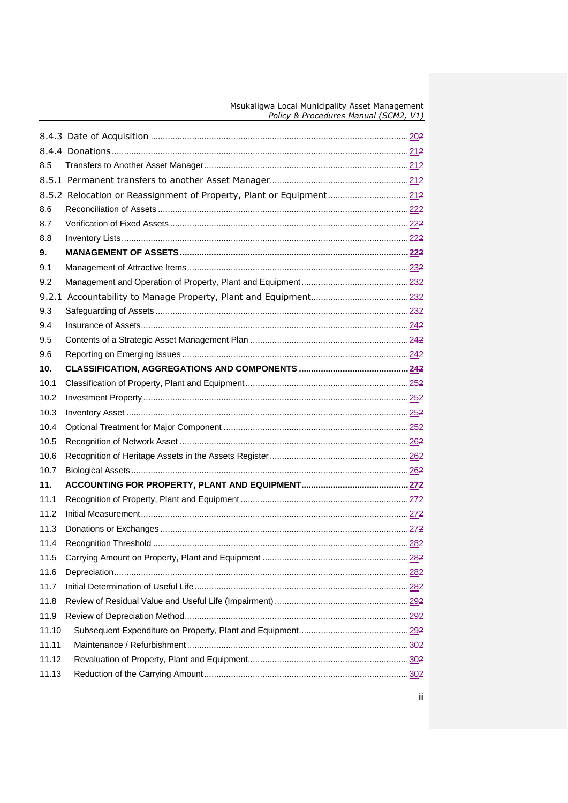| 8.5   |                                                                      |
|-------|----------------------------------------------------------------------|
|       |                                                                      |
|       | 8.5.2 Relocation or Reassignment of Property, Plant or Equipment 212 |
| 8.6   |                                                                      |
| 8.7   |                                                                      |
| 8.8   |                                                                      |
| 9.    |                                                                      |
| 9.1   |                                                                      |
| 9.2   |                                                                      |
|       |                                                                      |
| 9.3   |                                                                      |
| 9.4   |                                                                      |
| 9.5   |                                                                      |
| 9.6   |                                                                      |
| 10.   |                                                                      |
| 10.1  |                                                                      |
| 10.2  |                                                                      |
| 10.3  |                                                                      |
| 10.4  |                                                                      |
| 10.5  |                                                                      |
| 10.6  |                                                                      |
| 10.7  |                                                                      |
| 11.   |                                                                      |
| 11.1  |                                                                      |
| 11.2  |                                                                      |
| 11.3  |                                                                      |
| 11.4  |                                                                      |
| 11.5  |                                                                      |
| 11.6  |                                                                      |
| 11.7  |                                                                      |
| 11.8  |                                                                      |
| 11.9  |                                                                      |
| 11.10 |                                                                      |
| 11.11 |                                                                      |
| 11.12 |                                                                      |
| 11.13 |                                                                      |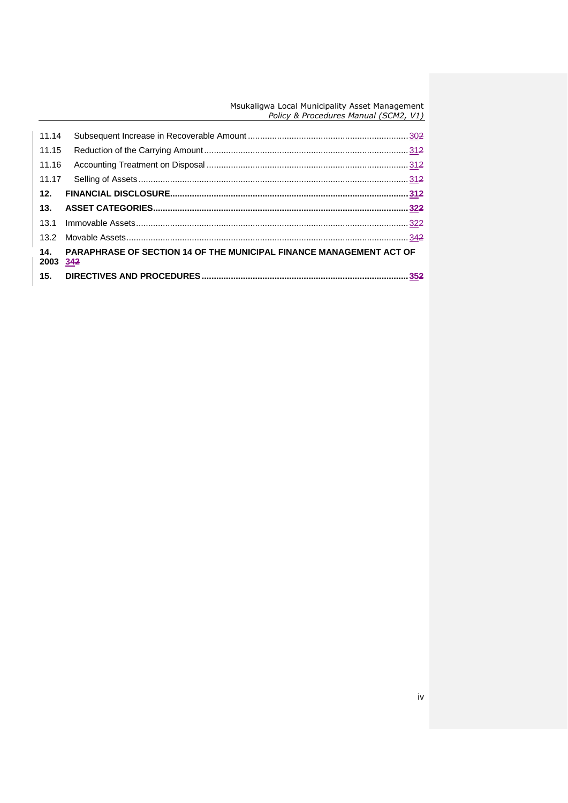| 14.<br>2003 34 <del>2</del> | PARAPHRASE OF SECTION 14 OF THE MUNICIPAL FINANCE MANAGEMENT ACT OF |  |
|-----------------------------|---------------------------------------------------------------------|--|
|                             |                                                                     |  |
|                             |                                                                     |  |
|                             |                                                                     |  |
| 12.                         |                                                                     |  |
|                             |                                                                     |  |
| 11.16                       |                                                                     |  |
| 11.15                       |                                                                     |  |
| 11.14                       |                                                                     |  |
|                             |                                                                     |  |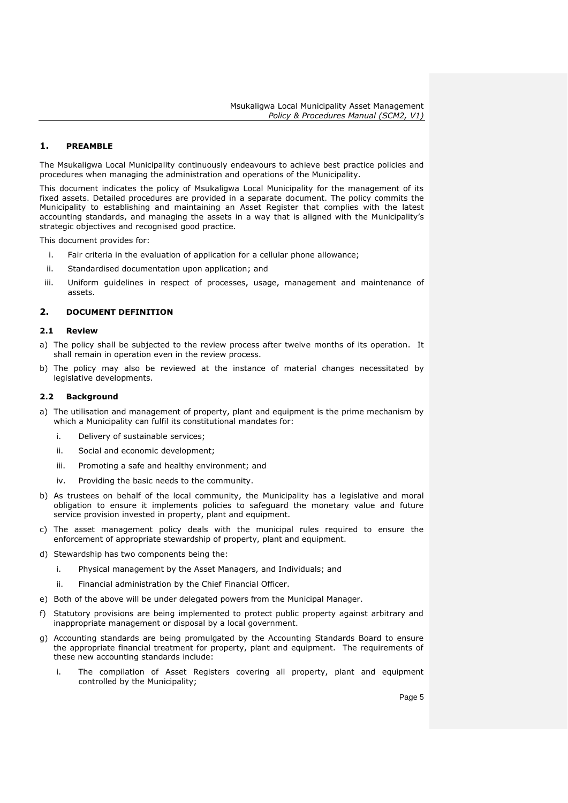## <span id="page-4-0"></span>**1. PREAMBLE**

The Msukaligwa Local Municipality continuously endeavours to achieve best practice policies and procedures when managing the administration and operations of the Municipality.

This document indicates the policy of Msukaligwa Local Municipality for the management of its fixed assets. Detailed procedures are provided in a separate document. The policy commits the Municipality to establishing and maintaining an Asset Register that complies with the latest accounting standards, and managing the assets in a way that is aligned with the Municipality's strategic objectives and recognised good practice.

This document provides for:

- i. Fair criteria in the evaluation of application for a cellular phone allowance;
- ii. Standardised documentation upon application; and
- iii. Uniform guidelines in respect of processes, usage, management and maintenance of assets.

## <span id="page-4-1"></span>**2. DOCUMENT DEFINITION**

## <span id="page-4-2"></span>**2.1 Review**

- a) The policy shall be subjected to the review process after twelve months of its operation. It shall remain in operation even in the review process.
- b) The policy may also be reviewed at the instance of material changes necessitated by legislative developments.

## <span id="page-4-3"></span>**2.2 Background**

- a) The utilisation and management of property, plant and equipment is the prime mechanism by which a Municipality can fulfil its constitutional mandates for:
	- i. Delivery of sustainable services;
	- ii. Social and economic development;
	- iii. Promoting a safe and healthy environment; and
	- iv. Providing the basic needs to the community.
- b) As trustees on behalf of the local community, the Municipality has a legislative and moral obligation to ensure it implements policies to safeguard the monetary value and future service provision invested in property, plant and equipment.
- c) The asset management policy deals with the municipal rules required to ensure the enforcement of appropriate stewardship of property, plant and equipment.
- d) Stewardship has two components being the:
	- i. Physical management by the Asset Managers, and Individuals; and
	- ii. Financial administration by the Chief Financial Officer.
- e) Both of the above will be under delegated powers from the Municipal Manager.
- f) Statutory provisions are being implemented to protect public property against arbitrary and inappropriate management or disposal by a local government.
- g) Accounting standards are being promulgated by the Accounting Standards Board to ensure the appropriate financial treatment for property, plant and equipment. The requirements of these new accounting standards include:
	- i. The compilation of Asset Registers covering all property, plant and equipment controlled by the Municipality;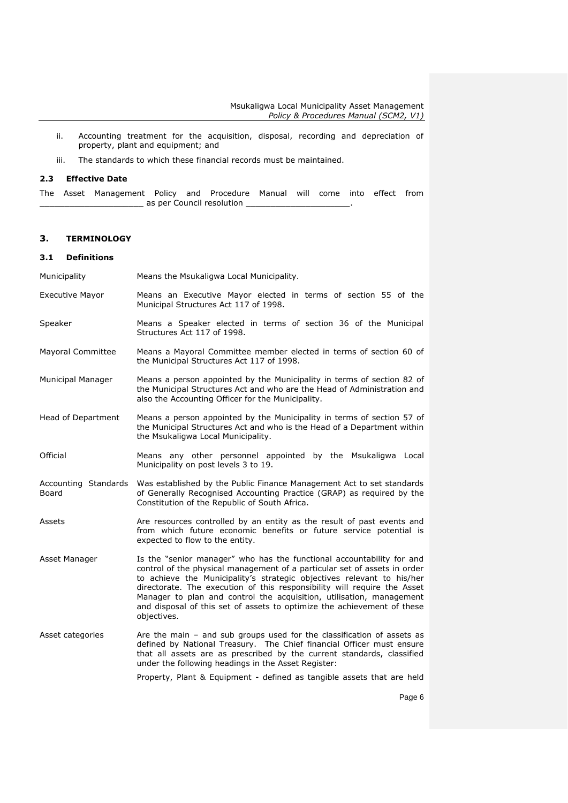- ii. Accounting treatment for the acquisition, disposal, recording and depreciation of property, plant and equipment; and
- iii. The standards to which these financial records must be maintained.

#### <span id="page-5-0"></span>**2.3 Effective Date**

The Asset Management Policy and Procedure Manual will come into effect from \_ as per Council resolution \_

## <span id="page-5-1"></span>**3. TERMINOLOGY**

## <span id="page-5-2"></span>**3.1 Definitions**

| <b>Municipality</b> | Means the Msukaligwa Local Municipality. |
|---------------------|------------------------------------------|
|---------------------|------------------------------------------|

- Executive Mayor Means an Executive Mayor elected in terms of section 55 of the Municipal Structures Act 117 of 1998.
- Speaker **Means a Speaker elected in terms of section 36 of the Municipal** Structures Act 117 of 1998.
- Mayoral Committee Means a Mayoral Committee member elected in terms of section 60 of the Municipal Structures Act 117 of 1998.
- Municipal Manager Means a person appointed by the Municipality in terms of section 82 of the Municipal Structures Act and who are the Head of Administration and also the Accounting Officer for the Municipality.
- Head of Department Means a person appointed by the Municipality in terms of section 57 of the Municipal Structures Act and who is the Head of a Department within the Msukaligwa Local Municipality.
- Official Means any other personnel appointed by the Msukaligwa Local Municipality on post levels 3 to 19.
- Accounting Standards Was established by the Public Finance Management Act to set standards Board of Generally Recognised Accounting Practice (GRAP) as required by the Constitution of the Republic of South Africa.
- Assets **Are resources controlled by an entity as the result of past events and** from which future economic benefits or future service potential is expected to flow to the entity.
- Asset Manager Is the "senior manager" who has the functional accountability for and control of the physical management of a particular set of assets in order to achieve the Municipality's strategic objectives relevant to his/her directorate. The execution of this responsibility will require the Asset Manager to plan and control the acquisition, utilisation, management and disposal of this set of assets to optimize the achievement of these objectives.
- Asset categories Are the main and sub groups used for the classification of assets as defined by National Treasury. The Chief financial Officer must ensure that all assets are as prescribed by the current standards, classified under the following headings in the Asset Register:

Property, Plant & Equipment - defined as tangible assets that are held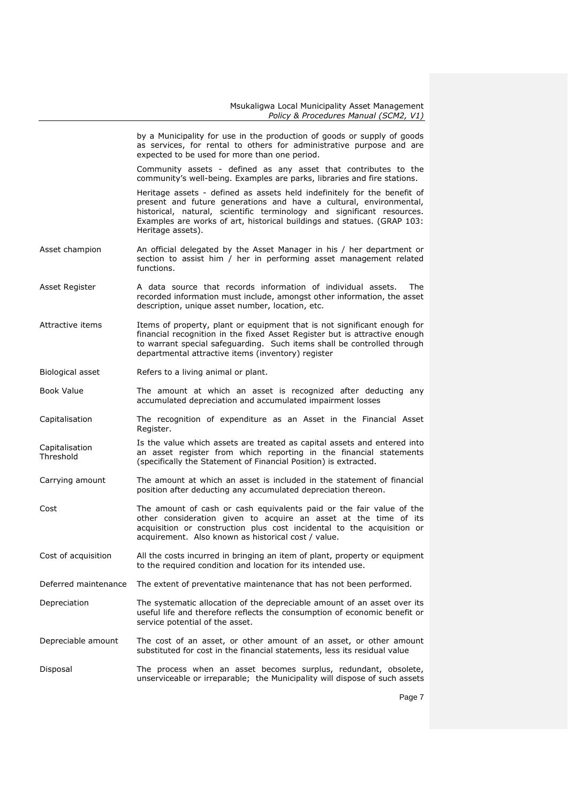|                             | by a Municipality for use in the production of goods or supply of goods<br>as services, for rental to others for administrative purpose and are<br>expected to be used for more than one period.                                                                                                                         |
|-----------------------------|--------------------------------------------------------------------------------------------------------------------------------------------------------------------------------------------------------------------------------------------------------------------------------------------------------------------------|
|                             | Community assets - defined as any asset that contributes to the<br>community's well-being. Examples are parks, libraries and fire stations.                                                                                                                                                                              |
|                             | Heritage assets - defined as assets held indefinitely for the benefit of<br>present and future generations and have a cultural, environmental,<br>historical, natural, scientific terminology and significant resources.<br>Examples are works of art, historical buildings and statues. (GRAP 103:<br>Heritage assets). |
| Asset champion              | An official delegated by the Asset Manager in his / her department or<br>section to assist him / her in performing asset management related<br>functions.                                                                                                                                                                |
| Asset Register              | A data source that records information of individual assets.<br>The<br>recorded information must include, amongst other information, the asset<br>description, unique asset number, location, etc.                                                                                                                       |
| Attractive items            | Items of property, plant or equipment that is not significant enough for<br>financial recognition in the fixed Asset Register but is attractive enough<br>to warrant special safeguarding. Such items shall be controlled through<br>departmental attractive items (inventory) register                                  |
| Biological asset            | Refers to a living animal or plant.                                                                                                                                                                                                                                                                                      |
| Book Value                  | The amount at which an asset is recognized after deducting any<br>accumulated depreciation and accumulated impairment losses                                                                                                                                                                                             |
| Capitalisation              | The recognition of expenditure as an Asset in the Financial Asset<br>Register.                                                                                                                                                                                                                                           |
| Capitalisation<br>Threshold | Is the value which assets are treated as capital assets and entered into<br>an asset register from which reporting in the financial statements<br>(specifically the Statement of Financial Position) is extracted.                                                                                                       |
| Carrying amount             | The amount at which an asset is included in the statement of financial<br>position after deducting any accumulated depreciation thereon.                                                                                                                                                                                 |
| Cost                        | The amount of cash or cash equivalents paid or the fair value of the<br>other consideration given to acquire an asset at the time of its<br>acquisition or construction plus cost incidental to the acquisition or<br>acquirement. Also known as historical cost / value.                                                |
| Cost of acquisition         | All the costs incurred in bringing an item of plant, property or equipment<br>to the required condition and location for its intended use.                                                                                                                                                                               |
| Deferred maintenance        | The extent of preventative maintenance that has not been performed.                                                                                                                                                                                                                                                      |
| Depreciation                | The systematic allocation of the depreciable amount of an asset over its<br>useful life and therefore reflects the consumption of economic benefit or<br>service potential of the asset.                                                                                                                                 |
| Depreciable amount          | The cost of an asset, or other amount of an asset, or other amount<br>substituted for cost in the financial statements, less its residual value                                                                                                                                                                          |
| Disposal                    | The process when an asset becomes surplus, redundant, obsolete,<br>unserviceable or irreparable; the Municipality will dispose of such assets                                                                                                                                                                            |
|                             | $D_{200}$ 7                                                                                                                                                                                                                                                                                                              |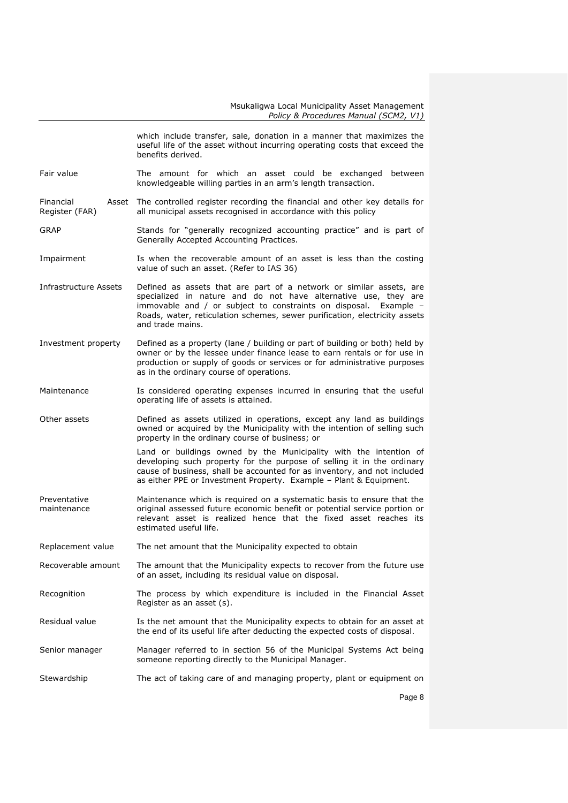|                             | which include transfer, sale, donation in a manner that maximizes the<br>useful life of the asset without incurring operating costs that exceed the<br>benefits derived.                                                                                                                                     |  |  |  |  |
|-----------------------------|--------------------------------------------------------------------------------------------------------------------------------------------------------------------------------------------------------------------------------------------------------------------------------------------------------------|--|--|--|--|
| Fair value                  | The amount for which an asset could be exchanged<br>between<br>knowledgeable willing parties in an arm's length transaction.                                                                                                                                                                                 |  |  |  |  |
| Financial<br>Register (FAR) | Asset The controlled register recording the financial and other key details for<br>all municipal assets recognised in accordance with this policy                                                                                                                                                            |  |  |  |  |
| <b>GRAP</b>                 | Stands for "generally recognized accounting practice" and is part of<br>Generally Accepted Accounting Practices.                                                                                                                                                                                             |  |  |  |  |
| Impairment                  | Is when the recoverable amount of an asset is less than the costing<br>value of such an asset. (Refer to IAS 36)                                                                                                                                                                                             |  |  |  |  |
| Infrastructure Assets       | Defined as assets that are part of a network or similar assets, are<br>specialized in nature and do not have alternative use, they are<br>immovable and / or subject to constraints on disposal. Example -<br>Roads, water, reticulation schemes, sewer purification, electricity assets<br>and trade mains. |  |  |  |  |
| Investment property         | Defined as a property (lane / building or part of building or both) held by<br>owner or by the lessee under finance lease to earn rentals or for use in<br>production or supply of goods or services or for administrative purposes<br>as in the ordinary course of operations.                              |  |  |  |  |
| Maintenance                 | Is considered operating expenses incurred in ensuring that the useful<br>operating life of assets is attained.                                                                                                                                                                                               |  |  |  |  |
| Other assets                | Defined as assets utilized in operations, except any land as buildings<br>owned or acquired by the Municipality with the intention of selling such<br>property in the ordinary course of business; or                                                                                                        |  |  |  |  |
|                             | Land or buildings owned by the Municipality with the intention of<br>developing such property for the purpose of selling it in the ordinary<br>cause of business, shall be accounted for as inventory, and not included<br>as either PPE or Investment Property. Example - Plant & Equipment.                |  |  |  |  |
| Preventative<br>maintenance | Maintenance which is required on a systematic basis to ensure that the<br>original assessed future economic benefit or potential service portion or<br>relevant asset is realized hence that the fixed asset reaches its<br>estimated useful life.                                                           |  |  |  |  |
| Replacement value           | The net amount that the Municipality expected to obtain                                                                                                                                                                                                                                                      |  |  |  |  |
| Recoverable amount          | The amount that the Municipality expects to recover from the future use<br>of an asset, including its residual value on disposal.                                                                                                                                                                            |  |  |  |  |
| Recognition                 | The process by which expenditure is included in the Financial Asset<br>Register as an asset (s).                                                                                                                                                                                                             |  |  |  |  |
| Residual value              | Is the net amount that the Municipality expects to obtain for an asset at<br>the end of its useful life after deducting the expected costs of disposal.                                                                                                                                                      |  |  |  |  |
| Senior manager              | Manager referred to in section 56 of the Municipal Systems Act being<br>someone reporting directly to the Municipal Manager.                                                                                                                                                                                 |  |  |  |  |
| Stewardship                 | The act of taking care of and managing property, plant or equipment on                                                                                                                                                                                                                                       |  |  |  |  |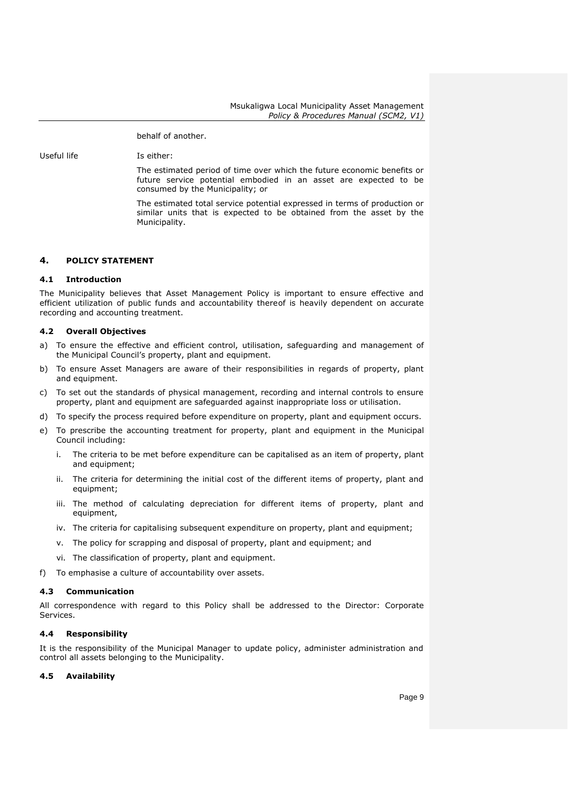behalf of another.

Useful life The Isleither:

The estimated period of time over which the future economic benefits or future service potential embodied in an asset are expected to be consumed by the Municipality; or

The estimated total service potential expressed in terms of production or similar units that is expected to be obtained from the asset by the Municipality.

## <span id="page-8-0"></span>**4. POLICY STATEMENT**

#### <span id="page-8-1"></span>**4.1 Introduction**

The Municipality believes that Asset Management Policy is important to ensure effective and efficient utilization of public funds and accountability thereof is heavily dependent on accurate recording and accounting treatment.

## <span id="page-8-2"></span>**4.2 Overall Objectives**

- a) To ensure the effective and efficient control, utilisation, safeguarding and management of the Municipal Council's property, plant and equipment.
- b) To ensure Asset Managers are aware of their responsibilities in regards of property, plant and equipment.
- c) To set out the standards of physical management, recording and internal controls to ensure property, plant and equipment are safeguarded against inappropriate loss or utilisation.
- d) To specify the process required before expenditure on property, plant and equipment occurs.
- e) To prescribe the accounting treatment for property, plant and equipment in the Municipal Council including:
	- i. The criteria to be met before expenditure can be capitalised as an item of property, plant and equipment;
	- ii. The criteria for determining the initial cost of the different items of property, plant and equipment;
	- iii. The method of calculating depreciation for different items of property, plant and equipment,
	- iv. The criteria for capitalising subsequent expenditure on property, plant and equipment;
	- v. The policy for scrapping and disposal of property, plant and equipment; and
	- vi. The classification of property, plant and equipment.

f) To emphasise a culture of accountability over assets.

## <span id="page-8-3"></span>**4.3 Communication**

All correspondence with regard to this Policy shall be addressed to the Director: Corporate Services.

## <span id="page-8-4"></span>**4.4 Responsibility**

It is the responsibility of the Municipal Manager to update policy, administer administration and control all assets belonging to the Municipality.

## <span id="page-8-5"></span>**4.5 Availability**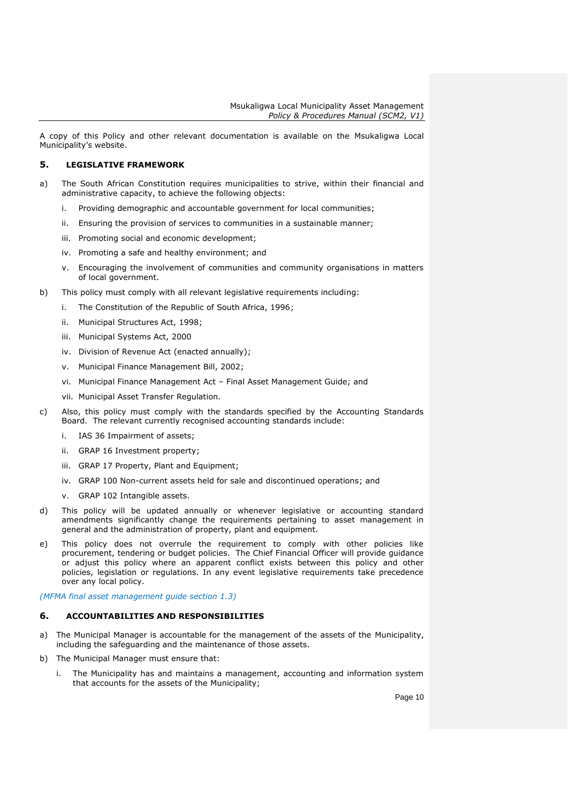A copy of this Policy and other relevant documentation is available on the Msukaligwa Local Municipality's website.

## <span id="page-9-0"></span>**5. LEGISLATIVE FRAMEWORK**

- a) The South African Constitution requires municipalities to strive, within their financial and administrative capacity, to achieve the following objects:
	- i. Providing demographic and accountable government for local communities;
	- ii. Ensuring the provision of services to communities in a sustainable manner;
	- iii. Promoting social and economic development;
	- iv. Promoting a safe and healthy environment; and
	- v. Encouraging the involvement of communities and community organisations in matters of local government.
- b) This policy must comply with all relevant legislative requirements including:
	- i. The Constitution of the Republic of South Africa, 1996;
	- ii. Municipal Structures Act, 1998;
	- iii. Municipal Systems Act, 2000
	- iv. Division of Revenue Act (enacted annually);
	- v. Municipal Finance Management Bill, 2002;
	- vi. Municipal Finance Management Act Final Asset Management Guide; and
	- vii. Municipal Asset Transfer Regulation.
- c) Also, this policy must comply with the standards specified by the Accounting Standards Board. The relevant currently recognised accounting standards include:
	- i. IAS 36 Impairment of assets;
	- ii. GRAP 16 Investment property;
	- iii. GRAP 17 Property, Plant and Equipment:
	- iv. GRAP 100 Non-current assets held for sale and discontinued operations; and
	- v. GRAP 102 Intangible assets.
- d) This policy will be updated annually or whenever legislative or accounting standard amendments significantly change the requirements pertaining to asset management in general and the administration of property, plant and equipment.
- e) This policy does not overrule the requirement to comply with other policies like procurement, tendering or budget policies. The Chief Financial Officer will provide guidance or adjust this policy where an apparent conflict exists between this policy and other policies, legislation or regulations. In any event legislative requirements take precedence over any local policy.

*(MFMA final asset management guide section 1.3)*

## <span id="page-9-1"></span>**6. ACCOUNTABILITIES AND RESPONSIBILITIES**

- a) The Municipal Manager is accountable for the management of the assets of the Municipality, including the safeguarding and the maintenance of those assets.
- b) The Municipal Manager must ensure that:
	- i. The Municipality has and maintains a management, accounting and information system that accounts for the assets of the Municipality;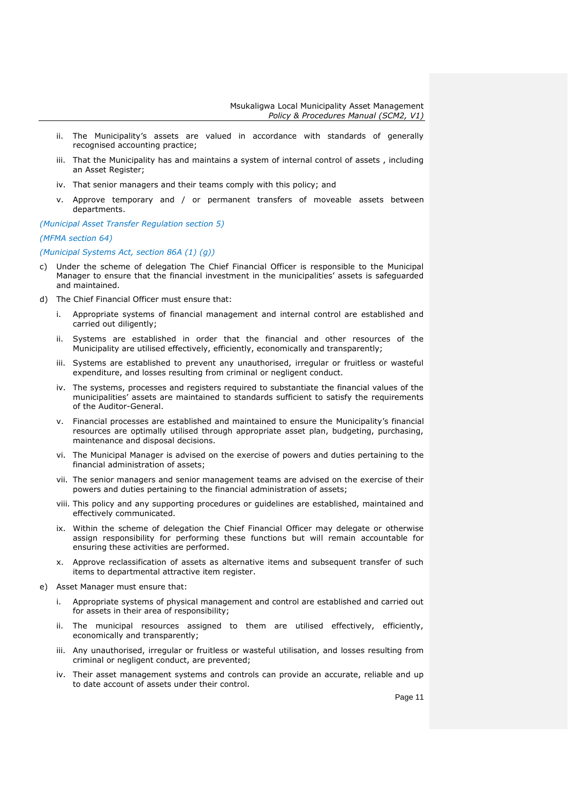- ii. The Municipality's assets are valued in accordance with standards of generally recognised accounting practice;
- iii. That the Municipality has and maintains a system of internal control of assets , including an Asset Register;
- iv. That senior managers and their teams comply with this policy; and
- v. Approve temporary and / or permanent transfers of moveable assets between departments.

*(Municipal Asset Transfer Regulation section 5)*

## *(MFMA section 64)*

*(Municipal Systems Act, section 86A (1) (g))*

- c) Under the scheme of delegation The Chief Financial Officer is responsible to the Municipal Manager to ensure that the financial investment in the municipalities' assets is safeguarded and maintained.
- d) The Chief Financial Officer must ensure that:
	- i. Appropriate systems of financial management and internal control are established and carried out diligently;
	- ii. Systems are established in order that the financial and other resources of the Municipality are utilised effectively, efficiently, economically and transparently;
	- iii. Systems are established to prevent any unauthorised, irregular or fruitless or wasteful expenditure, and losses resulting from criminal or negligent conduct.
	- iv. The systems, processes and registers required to substantiate the financial values of the municipalities' assets are maintained to standards sufficient to satisfy the requirements of the Auditor-General.
	- v. Financial processes are established and maintained to ensure the Municipality's financial resources are optimally utilised through appropriate asset plan, budgeting, purchasing, maintenance and disposal decisions.
	- vi. The Municipal Manager is advised on the exercise of powers and duties pertaining to the financial administration of assets;
	- vii. The senior managers and senior management teams are advised on the exercise of their powers and duties pertaining to the financial administration of assets;
	- viii. This policy and any supporting procedures or guidelines are established, maintained and effectively communicated.
	- ix. Within the scheme of delegation the Chief Financial Officer may delegate or otherwise assign responsibility for performing these functions but will remain accountable for ensuring these activities are performed.
	- x. Approve reclassification of assets as alternative items and subsequent transfer of such items to departmental attractive item register.
- e) Asset Manager must ensure that:
	- i. Appropriate systems of physical management and control are established and carried out for assets in their area of responsibility;
	- ii. The municipal resources assigned to them are utilised effectively, efficiently, economically and transparently;
	- iii. Any unauthorised, irregular or fruitless or wasteful utilisation, and losses resulting from criminal or negligent conduct, are prevented;
	- iv. Their asset management systems and controls can provide an accurate, reliable and up to date account of assets under their control.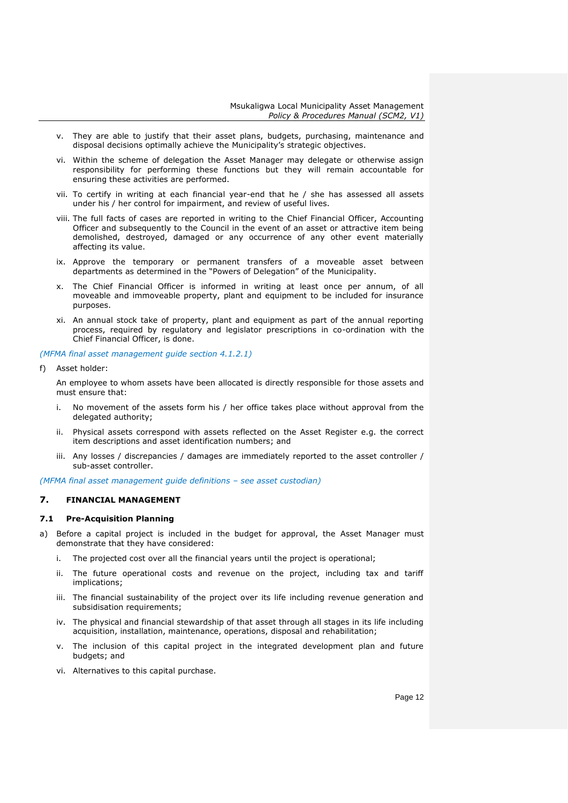- v. They are able to justify that their asset plans, budgets, purchasing, maintenance and disposal decisions optimally achieve the Municipality's strategic objectives.
- vi. Within the scheme of delegation the Asset Manager may delegate or otherwise assign responsibility for performing these functions but they will remain accountable for ensuring these activities are performed.
- vii. To certify in writing at each financial year-end that he / she has assessed all assets under his / her control for impairment, and review of useful lives.
- viii. The full facts of cases are reported in writing to the Chief Financial Officer, Accounting Officer and subsequently to the Council in the event of an asset or attractive item being demolished, destroyed, damaged or any occurrence of any other event materially affecting its value.
- ix. Approve the temporary or permanent transfers of a moveable asset between departments as determined in the "Powers of Delegation" of the Municipality.
- x. The Chief Financial Officer is informed in writing at least once per annum, of all moveable and immoveable property, plant and equipment to be included for insurance purposes.
- xi. An annual stock take of property, plant and equipment as part of the annual reporting process, required by regulatory and legislator prescriptions in co-ordination with the Chief Financial Officer, is done.

*(MFMA final asset management guide section 4.1.2.1)*

f) Asset holder:

An employee to whom assets have been allocated is directly responsible for those assets and must ensure that:

- i. No movement of the assets form his / her office takes place without approval from the delegated authority;
- ii. Physical assets correspond with assets reflected on the Asset Register e.g. the correct item descriptions and asset identification numbers; and
- iii. Any losses / discrepancies / damages are immediately reported to the asset controller / sub-asset controller.

*(MFMA final asset management guide definitions – see asset custodian)*

## <span id="page-11-0"></span>**7. FINANCIAL MANAGEMENT**

## <span id="page-11-1"></span>**7.1 Pre-Acquisition Planning**

- a) Before a capital project is included in the budget for approval, the Asset Manager must demonstrate that they have considered:
	- i. The projected cost over all the financial years until the project is operational;
	- ii. The future operational costs and revenue on the project, including tax and tariff implications;
	- iii. The financial sustainability of the project over its life including revenue generation and subsidisation requirements;
	- iv. The physical and financial stewardship of that asset through all stages in its life including acquisition, installation, maintenance, operations, disposal and rehabilitation;
	- v. The inclusion of this capital project in the integrated development plan and future budgets; and
	- vi. Alternatives to this capital purchase.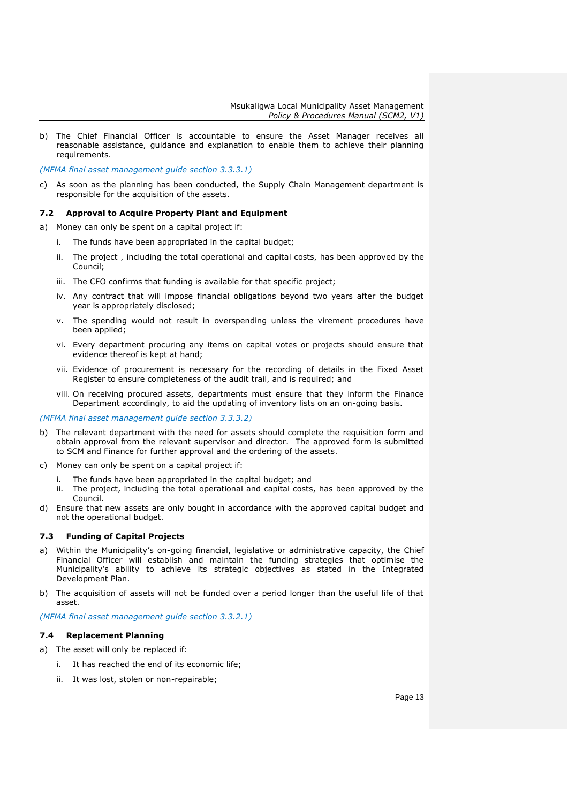b) The Chief Financial Officer is accountable to ensure the Asset Manager receives all reasonable assistance, guidance and explanation to enable them to achieve their planning requirements.

*(MFMA final asset management guide section 3.3.3.1)*

c) As soon as the planning has been conducted, the Supply Chain Management department is responsible for the acquisition of the assets.

### <span id="page-12-0"></span>**7.2 Approval to Acquire Property Plant and Equipment**

a) Money can only be spent on a capital project if:

- i. The funds have been appropriated in the capital budget;
- ii. The project , including the total operational and capital costs, has been approved by the Council;
- iii. The CFO confirms that funding is available for that specific project;
- iv. Any contract that will impose financial obligations beyond two years after the budget year is appropriately disclosed;
- v. The spending would not result in overspending unless the virement procedures have been applied;
- vi. Every department procuring any items on capital votes or projects should ensure that evidence thereof is kept at hand;
- vii. Evidence of procurement is necessary for the recording of details in the Fixed Asset Register to ensure completeness of the audit trail, and is required; and
- viii. On receiving procured assets, departments must ensure that they inform the Finance Department accordingly, to aid the updating of inventory lists on an on-going basis.

*(MFMA final asset management guide section 3.3.3.2)*

- b) The relevant department with the need for assets should complete the requisition form and obtain approval from the relevant supervisor and director. The approved form is submitted to SCM and Finance for further approval and the ordering of the assets.
- c) Money can only be spent on a capital project if:
	- i. The funds have been appropriated in the capital budget; and
	- ii. The project, including the total operational and capital costs, has been approved by the Council.
- d) Ensure that new assets are only bought in accordance with the approved capital budget and not the operational budget.

## <span id="page-12-1"></span>**7.3 Funding of Capital Projects**

- a) Within the Municipality's on-going financial, legislative or administrative capacity, the Chief Financial Officer will establish and maintain the funding strategies that optimise the Municipality's ability to achieve its strategic objectives as stated in the Integrated Development Plan.
- b) The acquisition of assets will not be funded over a period longer than the useful life of that asset.

*(MFMA final asset management guide section 3.3.2.1)*

## <span id="page-12-2"></span>**7.4 Replacement Planning**

- a) The asset will only be replaced if:
	- i. It has reached the end of its economic life;
	- ii. It was lost, stolen or non-repairable;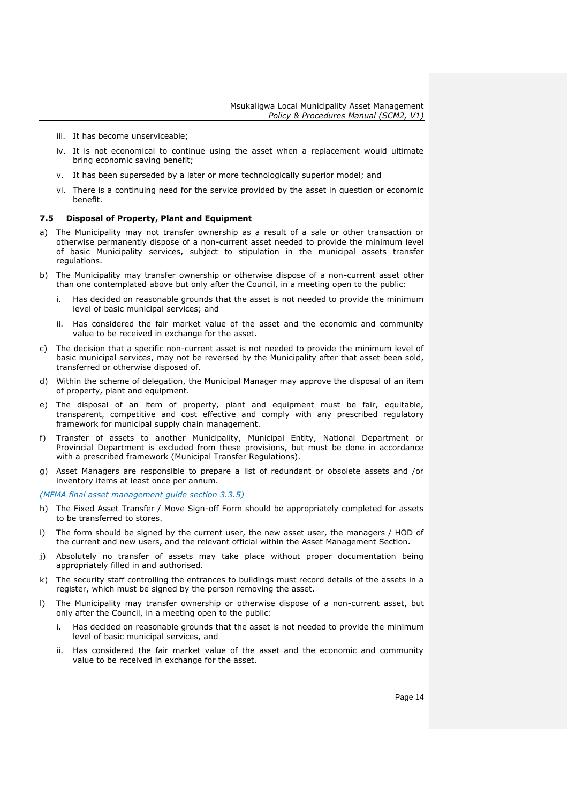- iii. It has become unserviceable;
- iv. It is not economical to continue using the asset when a replacement would ultimate bring economic saving benefit;
- v. It has been superseded by a later or more technologically superior model; and
- vi. There is a continuing need for the service provided by the asset in question or economic benefit.

#### <span id="page-13-0"></span>**7.5 Disposal of Property, Plant and Equipment**

- a) The Municipality may not transfer ownership as a result of a sale or other transaction or otherwise permanently dispose of a non-current asset needed to provide the minimum level of basic Municipality services, subject to stipulation in the municipal assets transfer regulations.
- b) The Municipality may transfer ownership or otherwise dispose of a non-current asset other than one contemplated above but only after the Council, in a meeting open to the public:
	- i. Has decided on reasonable grounds that the asset is not needed to provide the minimum level of basic municipal services; and
	- ii. Has considered the fair market value of the asset and the economic and community value to be received in exchange for the asset.
- c) The decision that a specific non-current asset is not needed to provide the minimum level of basic municipal services, may not be reversed by the Municipality after that asset been sold, transferred or otherwise disposed of.
- d) Within the scheme of delegation, the Municipal Manager may approve the disposal of an item of property, plant and equipment.
- e) The disposal of an item of property, plant and equipment must be fair, equitable, transparent, competitive and cost effective and comply with any prescribed regulatory framework for municipal supply chain management.
- f) Transfer of assets to another Municipality, Municipal Entity, National Department or Provincial Department is excluded from these provisions, but must be done in accordance with a prescribed framework (Municipal Transfer Regulations).
- g) Asset Managers are responsible to prepare a list of redundant or obsolete assets and /or inventory items at least once per annum.

*(MFMA final asset management guide section 3.3.5)*

- h) The Fixed Asset Transfer / Move Sign-off Form should be appropriately completed for assets to be transferred to stores.
- i) The form should be signed by the current user, the new asset user, the managers / HOD of the current and new users, and the relevant official within the Asset Management Section.
- j) Absolutely no transfer of assets may take place without proper documentation being appropriately filled in and authorised.
- k) The security staff controlling the entrances to buildings must record details of the assets in a register, which must be signed by the person removing the asset.
- l) The Municipality may transfer ownership or otherwise dispose of a non-current asset, but only after the Council, in a meeting open to the public:
	- i. Has decided on reasonable grounds that the asset is not needed to provide the minimum level of basic municipal services, and
	- ii. Has considered the fair market value of the asset and the economic and community value to be received in exchange for the asset.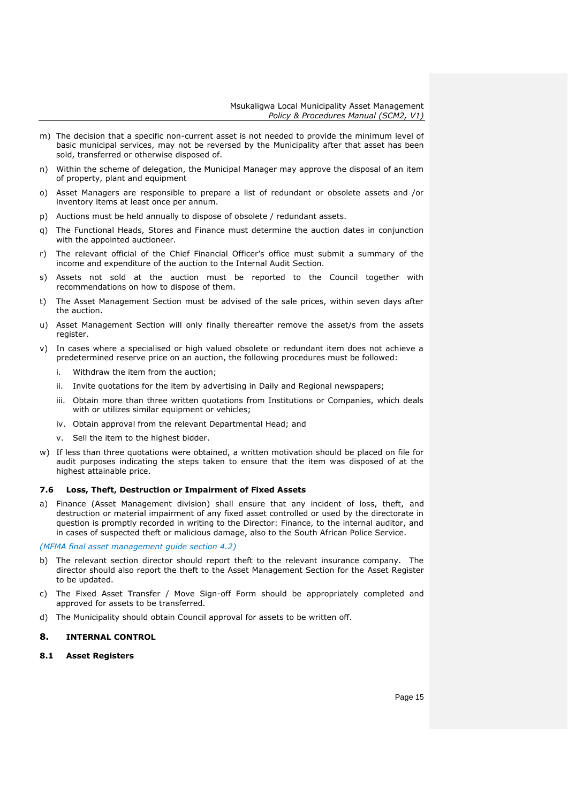- m) The decision that a specific non-current asset is not needed to provide the minimum level of basic municipal services, may not be reversed by the Municipality after that asset has been sold, transferred or otherwise disposed of.
- n) Within the scheme of delegation, the Municipal Manager may approve the disposal of an item of property, plant and equipment
- o) Asset Managers are responsible to prepare a list of redundant or obsolete assets and /or inventory items at least once per annum.
- p) Auctions must be held annually to dispose of obsolete / redundant assets.
- q) The Functional Heads, Stores and Finance must determine the auction dates in conjunction with the appointed auctioneer.
- r) The relevant official of the Chief Financial Officer's office must submit a summary of the income and expenditure of the auction to the Internal Audit Section.
- s) Assets not sold at the auction must be reported to the Council together with recommendations on how to dispose of them.
- t) The Asset Management Section must be advised of the sale prices, within seven days after the auction.
- u) Asset Management Section will only finally thereafter remove the asset/s from the assets register.
- v) In cases where a specialised or high valued obsolete or redundant item does not achieve a predetermined reserve price on an auction, the following procedures must be followed:
	- i. Withdraw the item from the auction;
	- ii. Invite quotations for the item by advertising in Daily and Regional newspapers;
	- iii. Obtain more than three written quotations from Institutions or Companies, which deals with or utilizes similar equipment or vehicles;
	- iv. Obtain approval from the relevant Departmental Head; and
	- v. Sell the item to the highest bidder.
- w) If less than three quotations were obtained, a written motivation should be placed on file for audit purposes indicating the steps taken to ensure that the item was disposed of at the highest attainable price.

## <span id="page-14-0"></span>**7.6 Loss, Theft, Destruction or Impairment of Fixed Assets**

a) Finance (Asset Management division) shall ensure that any incident of loss, theft, and destruction or material impairment of any fixed asset controlled or used by the directorate in question is promptly recorded in writing to the Director: Finance, to the internal auditor, and in cases of suspected theft or malicious damage, also to the South African Police Service.

*(MFMA final asset management guide section 4.2)*

- b) The relevant section director should report theft to the relevant insurance company. The director should also report the theft to the Asset Management Section for the Asset Register to be updated.
- c) The Fixed Asset Transfer / Move Sign-off Form should be appropriately completed and approved for assets to be transferred.
- d) The Municipality should obtain Council approval for assets to be written off.

## <span id="page-14-1"></span>**8. INTERNAL CONTROL**

#### <span id="page-14-2"></span>**8.1 Asset Registers**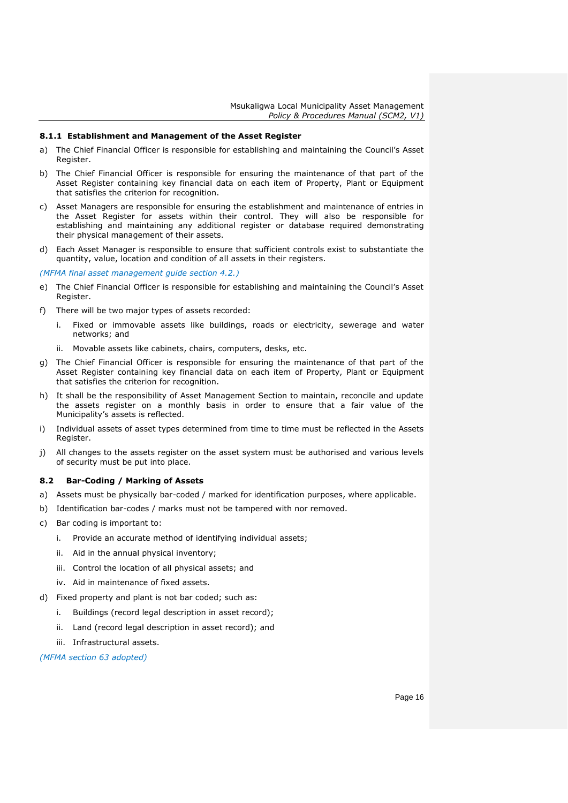#### <span id="page-15-0"></span>**8.1.1 Establishment and Management of the Asset Register**

- a) The Chief Financial Officer is responsible for establishing and maintaining the Council's Asset Register.
- b) The Chief Financial Officer is responsible for ensuring the maintenance of that part of the Asset Register containing key financial data on each item of Property, Plant or Equipment that satisfies the criterion for recognition.
- c) Asset Managers are responsible for ensuring the establishment and maintenance of entries in the Asset Register for assets within their control. They will also be responsible for establishing and maintaining any additional register or database required demonstrating their physical management of their assets.
- d) Each Asset Manager is responsible to ensure that sufficient controls exist to substantiate the quantity, value, location and condition of all assets in their registers.

*(MFMA final asset management guide section 4.2.)*

- e) The Chief Financial Officer is responsible for establishing and maintaining the Council's Asset Register.
- f) There will be two major types of assets recorded:
	- i. Fixed or immovable assets like buildings, roads or electricity, sewerage and water networks; and
	- ii. Movable assets like cabinets, chairs, computers, desks, etc.
- g) The Chief Financial Officer is responsible for ensuring the maintenance of that part of the Asset Register containing key financial data on each item of Property, Plant or Equipment that satisfies the criterion for recognition.
- h) It shall be the responsibility of Asset Management Section to maintain, reconcile and update the assets register on a monthly basis in order to ensure that a fair value of the Municipality's assets is reflected.
- i) Individual assets of asset types determined from time to time must be reflected in the Assets Register.
- j) All changes to the assets register on the asset system must be authorised and various levels of security must be put into place.

## <span id="page-15-1"></span>**8.2 Bar-Coding / Marking of Assets**

- a) Assets must be physically bar-coded / marked for identification purposes, where applicable.
- b) Identification bar-codes / marks must not be tampered with nor removed.
- c) Bar coding is important to:
	- i. Provide an accurate method of identifying individual assets;
	- ii. Aid in the annual physical inventory;
	- iii. Control the location of all physical assets; and
	- iv. Aid in maintenance of fixed assets.
- d) Fixed property and plant is not bar coded; such as:
	- i. Buildings (record legal description in asset record);
	- ii. Land (record legal description in asset record); and
	- iii. Infrastructural assets.

*(MFMA section 63 adopted)*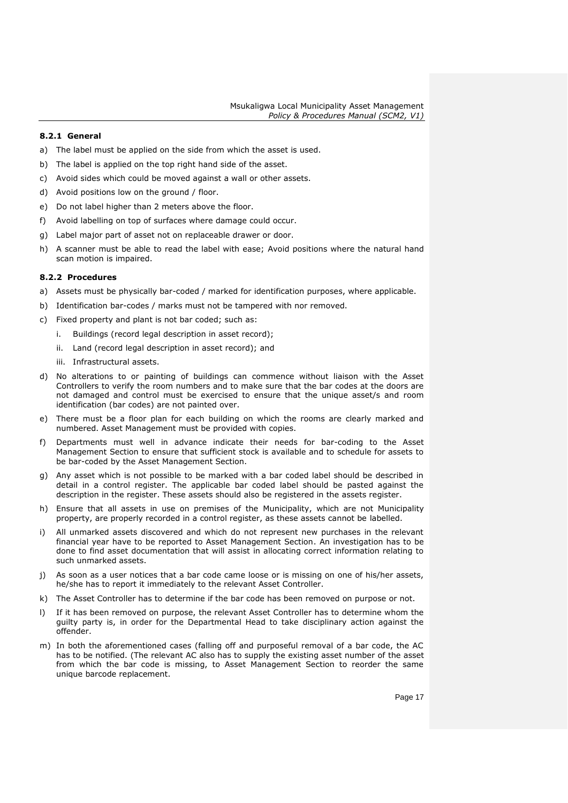## <span id="page-16-0"></span>**8.2.1 General**

- a) The label must be applied on the side from which the asset is used.
- b) The label is applied on the top right hand side of the asset.
- c) Avoid sides which could be moved against a wall or other assets.
- d) Avoid positions low on the ground / floor.
- e) Do not label higher than 2 meters above the floor.
- f) Avoid labelling on top of surfaces where damage could occur.
- g) Label major part of asset not on replaceable drawer or door.
- h) A scanner must be able to read the label with ease; Avoid positions where the natural hand scan motion is impaired.

#### <span id="page-16-1"></span>**8.2.2 Procedures**

- a) Assets must be physically bar-coded / marked for identification purposes, where applicable.
- b) Identification bar-codes / marks must not be tampered with nor removed.
- c) Fixed property and plant is not bar coded; such as:
	- i. Buildings (record legal description in asset record);
	- ii. Land (record legal description in asset record); and
	- iii. Infrastructural assets.
- d) No alterations to or painting of buildings can commence without liaison with the Asset Controllers to verify the room numbers and to make sure that the bar codes at the doors are not damaged and control must be exercised to ensure that the unique asset/s and room identification (bar codes) are not painted over.
- e) There must be a floor plan for each building on which the rooms are clearly marked and numbered. Asset Management must be provided with copies.
- f) Departments must well in advance indicate their needs for bar-coding to the Asset Management Section to ensure that sufficient stock is available and to schedule for assets to be bar-coded by the Asset Management Section.
- g) Any asset which is not possible to be marked with a bar coded label should be described in detail in a control register. The applicable bar coded label should be pasted against the description in the register. These assets should also be registered in the assets register.
- h) Ensure that all assets in use on premises of the Municipality, which are not Municipality property, are properly recorded in a control register, as these assets cannot be labelled.
- i) All unmarked assets discovered and which do not represent new purchases in the relevant financial year have to be reported to Asset Management Section. An investigation has to be done to find asset documentation that will assist in allocating correct information relating to such unmarked assets.
- j) As soon as a user notices that a bar code came loose or is missing on one of his/her assets, he/she has to report it immediately to the relevant Asset Controller.
- k) The Asset Controller has to determine if the bar code has been removed on purpose or not.
- l) If it has been removed on purpose, the relevant Asset Controller has to determine whom the guilty party is, in order for the Departmental Head to take disciplinary action against the offender.
- m) In both the aforementioned cases (falling off and purposeful removal of a bar code, the AC has to be notified. (The relevant AC also has to supply the existing asset number of the asset from which the bar code is missing, to Asset Management Section to reorder the same unique barcode replacement.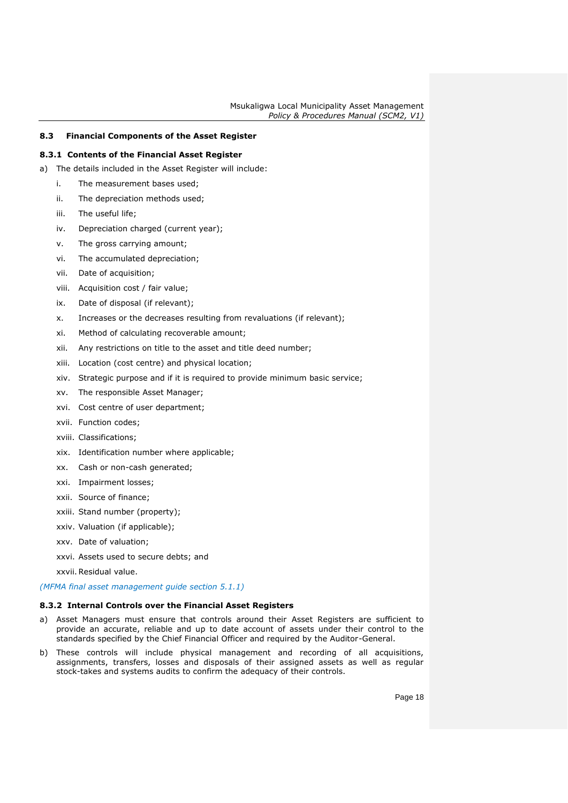## <span id="page-17-0"></span>**8.3 Financial Components of the Asset Register**

## <span id="page-17-1"></span>**8.3.1 Contents of the Financial Asset Register**

- a) The details included in the Asset Register will include:
	- i. The measurement bases used;
	- ii. The depreciation methods used;
	- iii. The useful life;
	- iv. Depreciation charged (current year);
	- v. The gross carrying amount;
	- vi. The accumulated depreciation;
	- vii. Date of acquisition;
	- viii. Acquisition cost / fair value;
	- ix. Date of disposal (if relevant);
	- x. Increases or the decreases resulting from revaluations (if relevant);
	- xi. Method of calculating recoverable amount;
	- xii. Any restrictions on title to the asset and title deed number;
	- xiii. Location (cost centre) and physical location;
	- xiv. Strategic purpose and if it is required to provide minimum basic service;
	- xv. The responsible Asset Manager;
	- xvi. Cost centre of user department;
	- xvii. Function codes;
	- xviii. Classifications;
	- xix. Identification number where applicable;
	- xx. Cash or non-cash generated;
	- xxi. Impairment losses;
	- xxii. Source of finance;
	- xxiii. Stand number (property);
	- xxiv. Valuation (if applicable);
	- xxv. Date of valuation;
	- xxvi. Assets used to secure debts; and
	- xxvii.Residual value.

*(MFMA final asset management guide section 5.1.1)*

#### <span id="page-17-2"></span>**8.3.2 Internal Controls over the Financial Asset Registers**

- a) Asset Managers must ensure that controls around their Asset Registers are sufficient to provide an accurate, reliable and up to date account of assets under their control to the standards specified by the Chief Financial Officer and required by the Auditor-General.
- b) These controls will include physical management and recording of all acquisitions, assignments, transfers, losses and disposals of their assigned assets as well as regular stock-takes and systems audits to confirm the adequacy of their controls.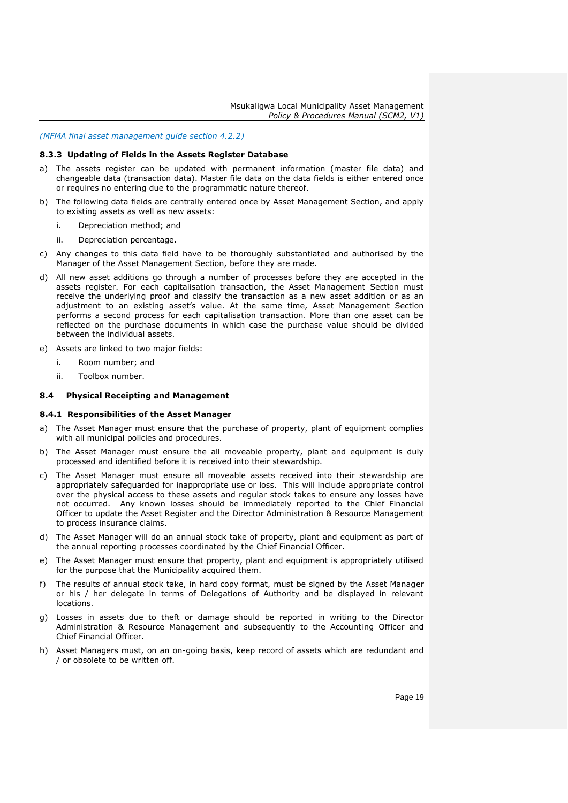#### *(MFMA final asset management guide section 4.2.2)*

#### <span id="page-18-0"></span>**8.3.3 Updating of Fields in the Assets Register Database**

- a) The assets register can be updated with permanent information (master file data) and changeable data (transaction data). Master file data on the data fields is either entered once or requires no entering due to the programmatic nature thereof.
- b) The following data fields are centrally entered once by Asset Management Section, and apply to existing assets as well as new assets:
	- i. Depreciation method; and
	- ii. Depreciation percentage.
- c) Any changes to this data field have to be thoroughly substantiated and authorised by the Manager of the Asset Management Section, before they are made.
- d) All new asset additions go through a number of processes before they are accepted in the assets register. For each capitalisation transaction, the Asset Management Section must receive the underlying proof and classify the transaction as a new asset addition or as an adjustment to an existing asset's value. At the same time, Asset Management Section performs a second process for each capitalisation transaction. More than one asset can be reflected on the purchase documents in which case the purchase value should be divided between the individual assets.
- e) Assets are linked to two major fields:
	- i. Room number; and
	- ii. Toolbox number.

#### <span id="page-18-1"></span>**8.4 Physical Receipting and Management**

#### <span id="page-18-2"></span>**8.4.1 Responsibilities of the Asset Manager**

- a) The Asset Manager must ensure that the purchase of property, plant of equipment complies with all municipal policies and procedures.
- b) The Asset Manager must ensure the all moveable property, plant and equipment is duly processed and identified before it is received into their stewardship.
- c) The Asset Manager must ensure all moveable assets received into their stewardship are appropriately safeguarded for inappropriate use or loss. This will include appropriate control over the physical access to these assets and regular stock takes to ensure any losses have not occurred. Any known losses should be immediately reported to the Chief Financial Officer to update the Asset Register and the Director Administration & Resource Management to process insurance claims.
- d) The Asset Manager will do an annual stock take of property, plant and equipment as part of the annual reporting processes coordinated by the Chief Financial Officer.
- e) The Asset Manager must ensure that property, plant and equipment is appropriately utilised for the purpose that the Municipality acquired them.
- f) The results of annual stock take, in hard copy format, must be signed by the Asset Manager or his / her delegate in terms of Delegations of Authority and be displayed in relevant locations.
- g) Losses in assets due to theft or damage should be reported in writing to the Director Administration & Resource Management and subsequently to the Accounting Officer and Chief Financial Officer.
- h) Asset Managers must, on an on-going basis, keep record of assets which are redundant and / or obsolete to be written off.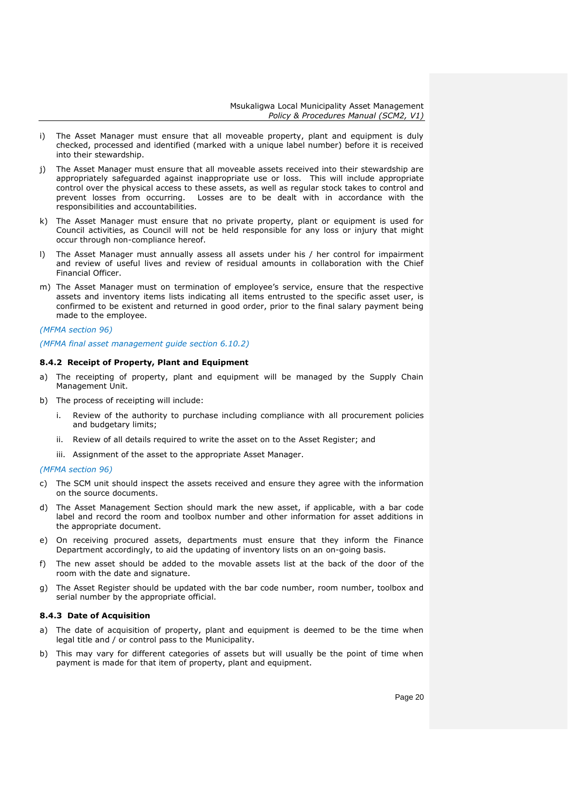- i) The Asset Manager must ensure that all moveable property, plant and equipment is duly checked, processed and identified (marked with a unique label number) before it is received into their stewardship.
- j) The Asset Manager must ensure that all moveable assets received into their stewardship are appropriately safeguarded against inappropriate use or loss. This will include appropriate control over the physical access to these assets, as well as regular stock takes to control and prevent losses from occurring. Losses are to be dealt with in accordance with the responsibilities and accountabilities.
- k) The Asset Manager must ensure that no private property, plant or equipment is used for Council activities, as Council will not be held responsible for any loss or injury that might occur through non-compliance hereof.
- l) The Asset Manager must annually assess all assets under his / her control for impairment and review of useful lives and review of residual amounts in collaboration with the Chief Financial Officer.
- m) The Asset Manager must on termination of employee's service, ensure that the respective assets and inventory items lists indicating all items entrusted to the specific asset user, is confirmed to be existent and returned in good order, prior to the final salary payment being made to the employee.

#### *(MFMA section 96)*

#### *(MFMA final asset management guide section 6.10.2)*

## <span id="page-19-0"></span>**8.4.2 Receipt of Property, Plant and Equipment**

- a) The receipting of property, plant and equipment will be managed by the Supply Chain Management Unit.
- b) The process of receipting will include:
	- i. Review of the authority to purchase including compliance with all procurement policies and budgetary limits;
	- ii. Review of all details required to write the asset on to the Asset Register; and
	- iii. Assignment of the asset to the appropriate Asset Manager.

## *(MFMA section 96)*

- c) The SCM unit should inspect the assets received and ensure they agree with the information on the source documents.
- d) The Asset Management Section should mark the new asset, if applicable, with a bar code label and record the room and toolbox number and other information for asset additions in the appropriate document.
- e) On receiving procured assets, departments must ensure that they inform the Finance Department accordingly, to aid the updating of inventory lists on an on-going basis.
- f) The new asset should be added to the movable assets list at the back of the door of the room with the date and signature.
- g) The Asset Register should be updated with the bar code number, room number, toolbox and serial number by the appropriate official.

#### <span id="page-19-1"></span>**8.4.3 Date of Acquisition**

- a) The date of acquisition of property, plant and equipment is deemed to be the time when legal title and / or control pass to the Municipality.
- b) This may vary for different categories of assets but will usually be the point of time when payment is made for that item of property, plant and equipment.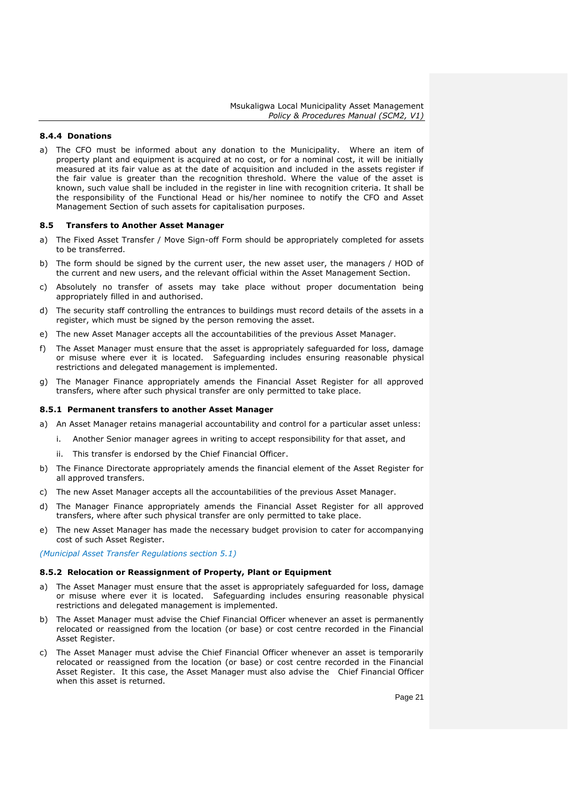## <span id="page-20-0"></span>**8.4.4 Donations**

a) The CFO must be informed about any donation to the Municipality. Where an item of property plant and equipment is acquired at no cost, or for a nominal cost, it will be initially measured at its fair value as at the date of acquisition and included in the assets register if the fair value is greater than the recognition threshold. Where the value of the asset is known, such value shall be included in the register in line with recognition criteria. It shall be the responsibility of the Functional Head or his/her nominee to notify the CFO and Asset Management Section of such assets for capitalisation purposes.

#### <span id="page-20-1"></span>**8.5 Transfers to Another Asset Manager**

- a) The Fixed Asset Transfer / Move Sign-off Form should be appropriately completed for assets to be transferred.
- b) The form should be signed by the current user, the new asset user, the managers / HOD of the current and new users, and the relevant official within the Asset Management Section.
- c) Absolutely no transfer of assets may take place without proper documentation being appropriately filled in and authorised.
- d) The security staff controlling the entrances to buildings must record details of the assets in a register, which must be signed by the person removing the asset.
- e) The new Asset Manager accepts all the accountabilities of the previous Asset Manager.
- f) The Asset Manager must ensure that the asset is appropriately safeguarded for loss, damage or misuse where ever it is located. Safeguarding includes ensuring reasonable physical restrictions and delegated management is implemented.
- g) The Manager Finance appropriately amends the Financial Asset Register for all approved transfers, where after such physical transfer are only permitted to take place.

#### <span id="page-20-2"></span>**8.5.1 Permanent transfers to another Asset Manager**

- a) An Asset Manager retains managerial accountability and control for a particular asset unless:
	- i. Another Senior manager agrees in writing to accept responsibility for that asset, and
	- ii. This transfer is endorsed by the Chief Financial Officer.
- b) The Finance Directorate appropriately amends the financial element of the Asset Register for all approved transfers.
- c) The new Asset Manager accepts all the accountabilities of the previous Asset Manager.
- d) The Manager Finance appropriately amends the Financial Asset Register for all approved transfers, where after such physical transfer are only permitted to take place.
- e) The new Asset Manager has made the necessary budget provision to cater for accompanying cost of such Asset Register.

*(Municipal Asset Transfer Regulations section 5.1)*

## <span id="page-20-3"></span>**8.5.2 Relocation or Reassignment of Property, Plant or Equipment**

- a) The Asset Manager must ensure that the asset is appropriately safeguarded for loss, damage or misuse where ever it is located. Safeguarding includes ensuring reasonable physical restrictions and delegated management is implemented.
- b) The Asset Manager must advise the Chief Financial Officer whenever an asset is permanently relocated or reassigned from the location (or base) or cost centre recorded in the Financial Asset Register.
- c) The Asset Manager must advise the Chief Financial Officer whenever an asset is temporarily relocated or reassigned from the location (or base) or cost centre recorded in the Financial Asset Register. It this case, the Asset Manager must also advise the Chief Financial Officer when this asset is returned.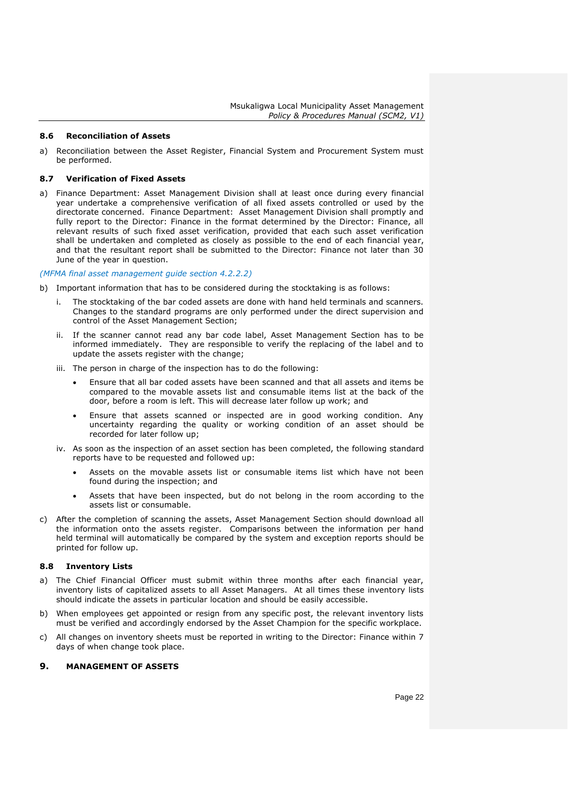#### <span id="page-21-0"></span>**8.6 Reconciliation of Assets**

a) Reconciliation between the Asset Register, Financial System and Procurement System must be performed.

## <span id="page-21-1"></span>**8.7 Verification of Fixed Assets**

a) Finance Department: Asset Management Division shall at least once during every financial year undertake a comprehensive verification of all fixed assets controlled or used by the directorate concerned. Finance Department: Asset Management Division shall promptly and fully report to the Director: Finance in the format determined by the Director: Finance, all relevant results of such fixed asset verification, provided that each such asset verification shall be undertaken and completed as closely as possible to the end of each financial year, and that the resultant report shall be submitted to the Director: Finance not later than 30 June of the year in question.

#### *(MFMA final asset management guide section 4.2.2.2)*

- b) Important information that has to be considered during the stocktaking is as follows:
	- i. The stocktaking of the bar coded assets are done with hand held terminals and scanners. Changes to the standard programs are only performed under the direct supervision and control of the Asset Management Section;
	- ii. If the scanner cannot read any bar code label, Asset Management Section has to be informed immediately. They are responsible to verify the replacing of the label and to update the assets register with the change;
	- iii. The person in charge of the inspection has to do the following:
		- Ensure that all bar coded assets have been scanned and that all assets and items be compared to the movable assets list and consumable items list at the back of the door, before a room is left. This will decrease later follow up work; and
		- Ensure that assets scanned or inspected are in good working condition. Any uncertainty regarding the quality or working condition of an asset should be recorded for later follow up;
	- iv. As soon as the inspection of an asset section has been completed, the following standard reports have to be requested and followed up:
		- Assets on the movable assets list or consumable items list which have not been found during the inspection; and
		- Assets that have been inspected, but do not belong in the room according to the assets list or consumable.
- c) After the completion of scanning the assets, Asset Management Section should download all the information onto the assets register. Comparisons between the information per hand held terminal will automatically be compared by the system and exception reports should be printed for follow up.

## <span id="page-21-2"></span>**8.8 Inventory Lists**

- a) The Chief Financial Officer must submit within three months after each financial year, inventory lists of capitalized assets to all Asset Managers. At all times these inventory lists should indicate the assets in particular location and should be easily accessible.
- b) When employees get appointed or resign from any specific post, the relevant inventory lists must be verified and accordingly endorsed by the Asset Champion for the specific workplace.
- c) All changes on inventory sheets must be reported in writing to the Director: Finance within 7 days of when change took place.

## <span id="page-21-3"></span>**9. MANAGEMENT OF ASSETS**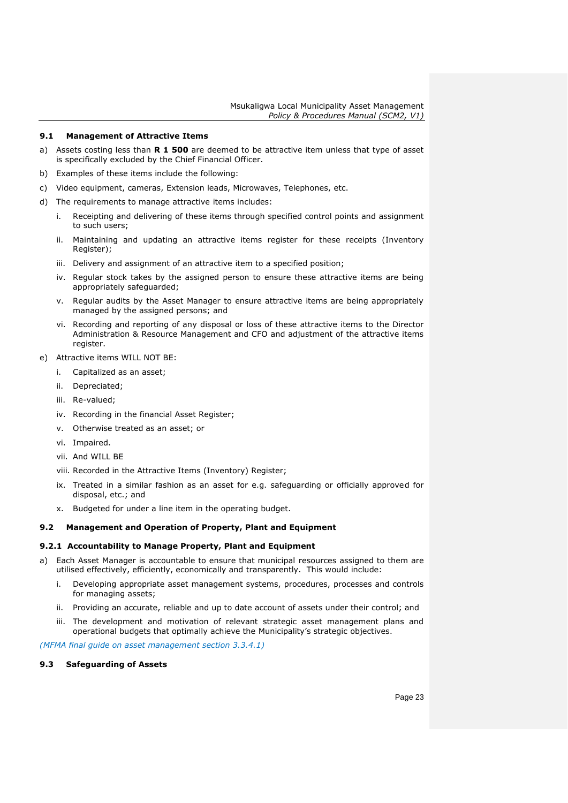## <span id="page-22-0"></span>**9.1 Management of Attractive Items**

- a) Assets costing less than **R 1 500** are deemed to be attractive item unless that type of asset is specifically excluded by the Chief Financial Officer.
- b) Examples of these items include the following:
- c) Video equipment, cameras, Extension leads, Microwaves, Telephones, etc.
- d) The requirements to manage attractive items includes:
	- i. Receipting and delivering of these items through specified control points and assignment to such users;
	- ii. Maintaining and updating an attractive items register for these receipts (Inventory Register);
	- iii. Delivery and assignment of an attractive item to a specified position;
	- iv. Regular stock takes by the assigned person to ensure these attractive items are being appropriately safeguarded;
	- v. Regular audits by the Asset Manager to ensure attractive items are being appropriately managed by the assigned persons; and
	- vi. Recording and reporting of any disposal or loss of these attractive items to the Director Administration & Resource Management and CFO and adjustment of the attractive items register.
- e) Attractive items WILL NOT BE:
	- i. Capitalized as an asset;
	- ii. Depreciated;
	- iii. Re-valued;
	- iv. Recording in the financial Asset Register;
	- v. Otherwise treated as an asset; or
	- vi. Impaired.
	- vii. And WILL BE
	- viii. Recorded in the Attractive Items (Inventory) Register;
	- ix. Treated in a similar fashion as an asset for e.g. safeguarding or officially approved for disposal, etc.; and
	- x. Budgeted for under a line item in the operating budget.

## <span id="page-22-1"></span>**9.2 Management and Operation of Property, Plant and Equipment**

### <span id="page-22-2"></span>**9.2.1 Accountability to Manage Property, Plant and Equipment**

- a) Each Asset Manager is accountable to ensure that municipal resources assigned to them are utilised effectively, efficiently, economically and transparently. This would include:
	- i. Developing appropriate asset management systems, procedures, processes and controls for managing assets;
	- ii. Providing an accurate, reliable and up to date account of assets under their control; and
	- iii. The development and motivation of relevant strategic asset management plans and operational budgets that optimally achieve the Municipality's strategic objectives.

*(MFMA final guide on asset management section 3.3.4.1)*

## <span id="page-22-3"></span>**9.3 Safeguarding of Assets**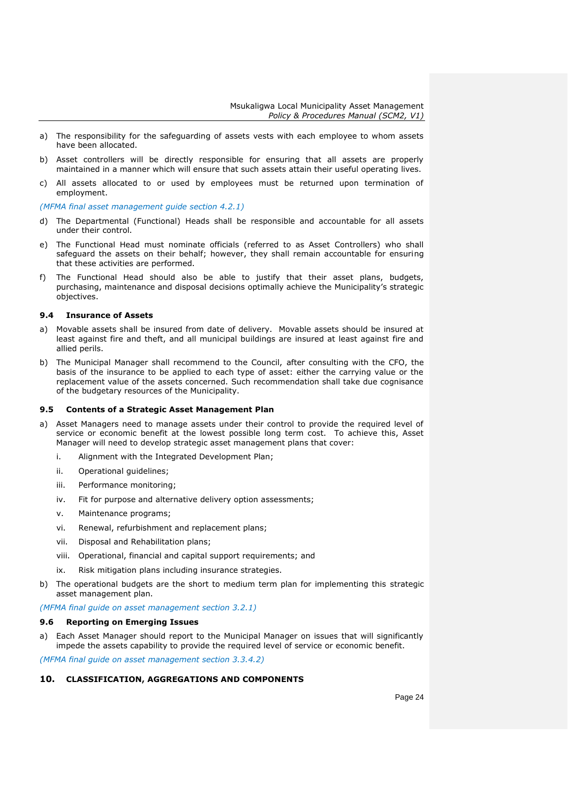- a) The responsibility for the safeguarding of assets vests with each employee to whom assets have been allocated.
- b) Asset controllers will be directly responsible for ensuring that all assets are properly maintained in a manner which will ensure that such assets attain their useful operating lives.
- c) All assets allocated to or used by employees must be returned upon termination of employment.

*(MFMA final asset management guide section 4.2.1)*

- d) The Departmental (Functional) Heads shall be responsible and accountable for all assets under their control.
- e) The Functional Head must nominate officials (referred to as Asset Controllers) who shall safeguard the assets on their behalf; however, they shall remain accountable for ensuring that these activities are performed.
- f) The Functional Head should also be able to justify that their asset plans, budgets, purchasing, maintenance and disposal decisions optimally achieve the Municipality's strategic objectives.

#### <span id="page-23-0"></span>**9.4 Insurance of Assets**

- a) Movable assets shall be insured from date of delivery. Movable assets should be insured at least against fire and theft, and all municipal buildings are insured at least against fire and allied perils.
- b) The Municipal Manager shall recommend to the Council, after consulting with the CFO, the basis of the insurance to be applied to each type of asset: either the carrying value or the replacement value of the assets concerned. Such recommendation shall take due cognisance of the budgetary resources of the Municipality.

#### <span id="page-23-1"></span>**9.5 Contents of a Strategic Asset Management Plan**

- a) Asset Managers need to manage assets under their control to provide the required level of service or economic benefit at the lowest possible long term cost. To achieve this, Asset Manager will need to develop strategic asset management plans that cover:
	- i. Alignment with the Integrated Development Plan;
	- ii. Operational guidelines;
	- iii. Performance monitoring;
	- iv. Fit for purpose and alternative delivery option assessments;
	- v. Maintenance programs;
	- vi. Renewal, refurbishment and replacement plans;
	- vii. Disposal and Rehabilitation plans;
	- viii. Operational, financial and capital support requirements; and
	- ix. Risk mitigation plans including insurance strategies.
- b) The operational budgets are the short to medium term plan for implementing this strategic asset management plan.

*(MFMA final guide on asset management section 3.2.1)*

#### <span id="page-23-2"></span>**9.6 Reporting on Emerging Issues**

Each Asset Manager should report to the Municipal Manager on issues that will significantly impede the assets capability to provide the required level of service or economic benefit.

*(MFMA final guide on asset management section 3.3.4.2)*

### <span id="page-23-3"></span>**10. CLASSIFICATION, AGGREGATIONS AND COMPONENTS**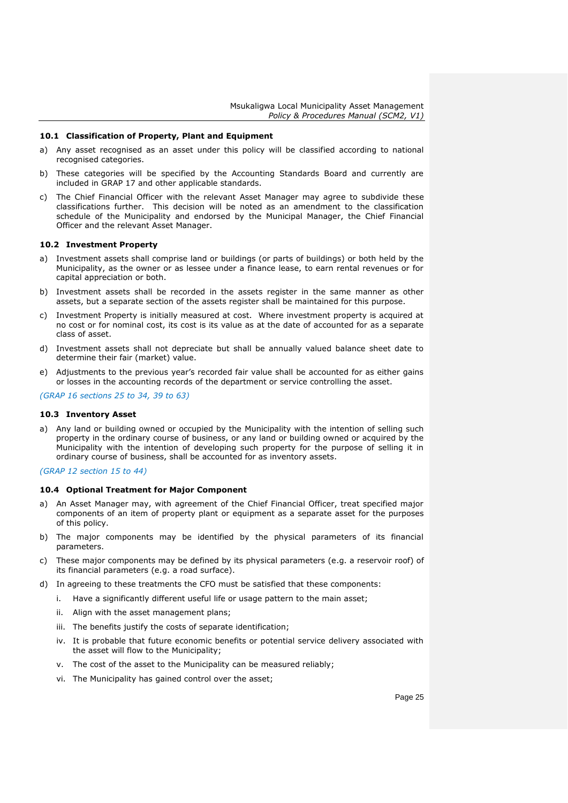### <span id="page-24-0"></span>**10.1 Classification of Property, Plant and Equipment**

- a) Any asset recognised as an asset under this policy will be classified according to national recognised categories.
- b) These categories will be specified by the Accounting Standards Board and currently are included in GRAP 17 and other applicable standards.
- c) The Chief Financial Officer with the relevant Asset Manager may agree to subdivide these classifications further. This decision will be noted as an amendment to the classification schedule of the Municipality and endorsed by the Municipal Manager, the Chief Financial Officer and the relevant Asset Manager.

#### <span id="page-24-1"></span>**10.2 Investment Property**

- a) Investment assets shall comprise land or buildings (or parts of buildings) or both held by the Municipality, as the owner or as lessee under a finance lease, to earn rental revenues or for capital appreciation or both.
- b) Investment assets shall be recorded in the assets register in the same manner as other assets, but a separate section of the assets register shall be maintained for this purpose.
- c) Investment Property is initially measured at cost. Where investment property is acquired at no cost or for nominal cost, its cost is its value as at the date of accounted for as a separate class of asset.
- d) Investment assets shall not depreciate but shall be annually valued balance sheet date to determine their fair (market) value.
- e) Adjustments to the previous year's recorded fair value shall be accounted for as either gains or losses in the accounting records of the department or service controlling the asset.

*(GRAP 16 sections 25 to 34, 39 to 63)*

## <span id="page-24-2"></span>**10.3 Inventory Asset**

a) Any land or building owned or occupied by the Municipality with the intention of selling such property in the ordinary course of business, or any land or building owned or acquired by the Municipality with the intention of developing such property for the purpose of selling it in ordinary course of business, shall be accounted for as inventory assets.

#### *(GRAP 12 section 15 to 44)*

## <span id="page-24-3"></span>**10.4 Optional Treatment for Major Component**

- a) An Asset Manager may, with agreement of the Chief Financial Officer, treat specified major components of an item of property plant or equipment as a separate asset for the purposes of this policy.
- b) The major components may be identified by the physical parameters of its financial parameters.
- c) These major components may be defined by its physical parameters (e.g. a reservoir roof) of its financial parameters (e.g. a road surface).
- d) In agreeing to these treatments the CFO must be satisfied that these components:
	- i. Have a significantly different useful life or usage pattern to the main asset;
	- ii. Align with the asset management plans;
	- iii. The benefits justify the costs of separate identification;
	- iv. It is probable that future economic benefits or potential service delivery associated with the asset will flow to the Municipality;
	- v. The cost of the asset to the Municipality can be measured reliably;
	- vi. The Municipality has gained control over the asset;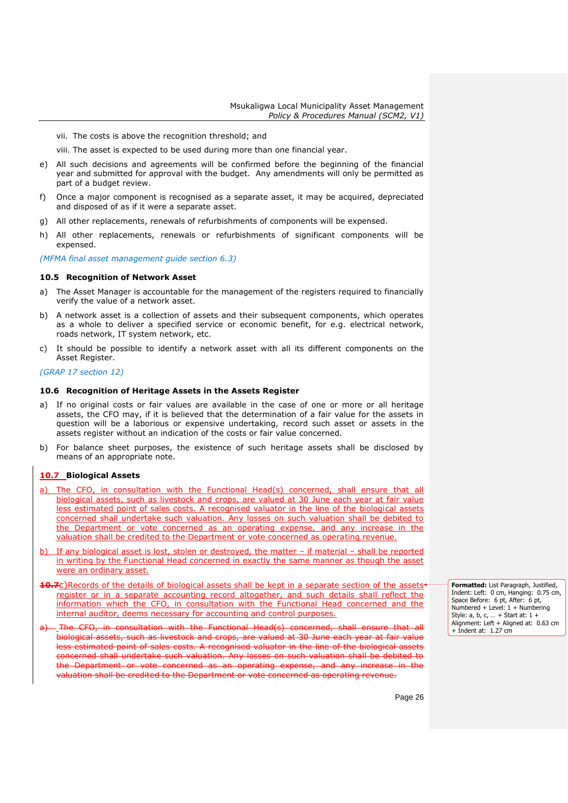vii. The costs is above the recognition threshold; and

viii. The asset is expected to be used during more than one financial year.

- e) All such decisions and agreements will be confirmed before the beginning of the financial year and submitted for approval with the budget. Any amendments will only be permitted as part of a budget review.
- f) Once a major component is recognised as a separate asset, it may be acquired, depreciated and disposed of as if it were a separate asset.
- g) All other replacements, renewals of refurbishments of components will be expensed.
- h) All other replacements, renewals or refurbishments of significant components will be expensed.

*(MFMA final asset management guide section 6.3)*

#### <span id="page-25-0"></span>**10.5 Recognition of Network Asset**

- a) The Asset Manager is accountable for the management of the registers required to financially verify the value of a network asset.
- b) A network asset is a collection of assets and their subsequent components, which operates as a whole to deliver a specified service or economic benefit, for e.g. electrical network, roads network, IT system network, etc.
- c) It should be possible to identify a network asset with all its different components on the Asset Register.

## *(GRAP 17 section 12)*

#### <span id="page-25-1"></span>**10.6 Recognition of Heritage Assets in the Assets Register**

- a) If no original costs or fair values are available in the case of one or more or all heritage assets, the CFO may, if it is believed that the determination of a fair value for the assets in question will be a laborious or expensive undertaking, record such asset or assets in the assets register without an indication of the costs or fair value concerned.
- b) For balance sheet purposes, the existence of such heritage assets shall be disclosed by means of an appropriate note.

#### <span id="page-25-2"></span>**10.7 Biological Assets**

- a) The CFO, in consultation with the Functional Head(s) concerned, shall ensure that all biological assets, such as livestock and crops, are valued at 30 June each year at fair value less estimated point of sales costs. A recognised valuator in the line of the biological assets concerned shall undertake such valuation. Any losses on such valuation shall be debited to the Department or vote concerned as an operating expense, and any increase in the valuation shall be credited to the Department or vote concerned as operating revenue.
- If any biological asset is lost, stolen or destroyed, the matter if material shall be reported in writing by the Functional Head concerned in exactly the same manner as though the asset were an ordinary asset.
- **10.7**C)Records of the details of biological assets shall be kept in a separate section of the assets<sup>4</sup> register or in a separate accounting record altogether, and such details shall reflect the information which the CFO, in consultation with the Functional Head concerned and the internal auditor, deems necessary for accounting and control purposes.
- <sub>-</sub>The CFO, in consultation with the Functional Head(s) concerned, shall ensure that all biological assets, such as livestock and crops, are valued at 30 June each year at fair value less estimated point of sales costs. A recognised valuator in the line of the biological assets concerned shall undertake such valuation. Any losses on such valuation shall be debited to the Department or vote concerned as an operating expense, and any increase in the valuation shall be credited to the Department or vote concerned as operating revenue.

**Formatted:** List Paragraph, Justified, Indent: Left: 0 cm, Hanging: 0.75 cm, Space Before: 6 pt, After: 6 pt, Numbered + Level: 1 + Numbering Style: a, b, c, … + Start at: 1 + Alignment: Left + Aligned at: 0.63 cm + Indent at: 1.27 cm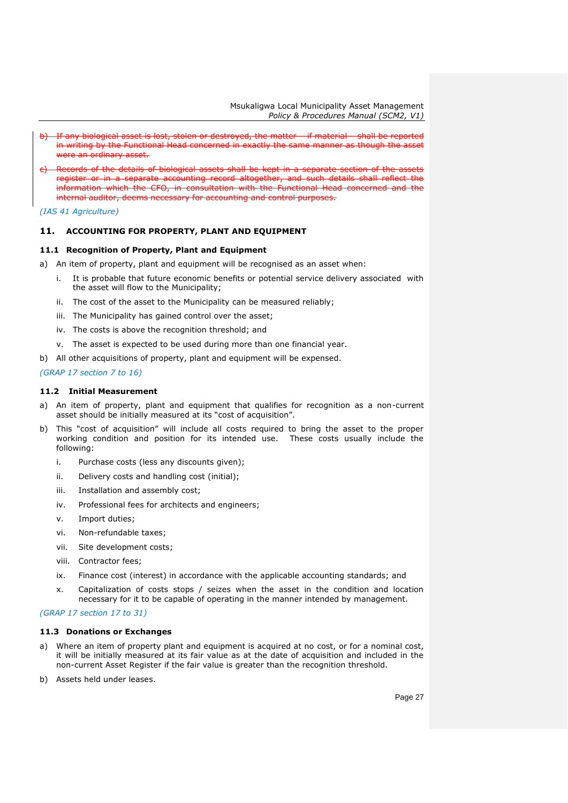- If any biological asset is lost, stolen or destroyed, the matter if material shall be reported in writing by the Functional Head concerned in exactly the same manner as though the asset were an ordinary asset.
- Records of the details of biological assets shall be kept in a separate section of the asset register or in a separate accounting record altogether, and such details shall reflect the information which the CFO, in consultation with the Functional Head concerned and the internal auditor, deems necessary for accounting and control purposes.

*(IAS 41 Agriculture)*

## <span id="page-26-0"></span>**11. ACCOUNTING FOR PROPERTY, PLANT AND EQUIPMENT**

## <span id="page-26-1"></span>**11.1 Recognition of Property, Plant and Equipment**

a) An item of property, plant and equipment will be recognised as an asset when:

- i. It is probable that future economic benefits or potential service delivery associated with the asset will flow to the Municipality;
- ii. The cost of the asset to the Municipality can be measured reliably;
- iii. The Municipality has gained control over the asset;
- iv. The costs is above the recognition threshold; and
- v. The asset is expected to be used during more than one financial year.
- b) All other acquisitions of property, plant and equipment will be expensed.

## *(GRAP 17 section 7 to 16)*

## <span id="page-26-2"></span>**11.2 Initial Measurement**

- a) An item of property, plant and equipment that qualifies for recognition as a non-current asset should be initially measured at its "cost of acquisition".
- b) This "cost of acquisition" will include all costs required to bring the asset to the proper working condition and position for its intended use. These costs usually include the following:
	- i. Purchase costs (less any discounts given);
	- ii. Delivery costs and handling cost (initial);
	- iii. Installation and assembly cost;
	- iv. Professional fees for architects and engineers;
	- v. Import duties;
	- vi. Non-refundable taxes;
	- vii. Site development costs;
	- viii. Contractor fees;
	- ix. Finance cost (interest) in accordance with the applicable accounting standards; and
	- x. Capitalization of costs stops / seizes when the asset in the condition and location necessary for it to be capable of operating in the manner intended by management.

## *(GRAP 17 section 17 to 31)*

## <span id="page-26-3"></span>**11.3 Donations or Exchanges**

- a) Where an item of property plant and equipment is acquired at no cost, or for a nominal cost, it will be initially measured at its fair value as at the date of acquisition and included in the non-current Asset Register if the fair value is greater than the recognition threshold.
- b) Assets held under leases.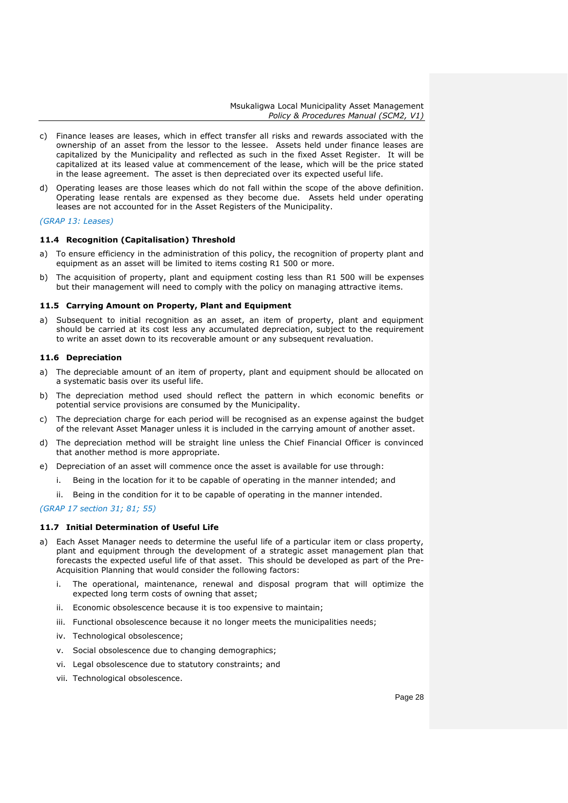- c) Finance leases are leases, which in effect transfer all risks and rewards associated with the ownership of an asset from the lessor to the lessee. Assets held under finance leases are capitalized by the Municipality and reflected as such in the fixed Asset Register. It will be capitalized at its leased value at commencement of the lease, which will be the price stated in the lease agreement. The asset is then depreciated over its expected useful life.
- d) Operating leases are those leases which do not fall within the scope of the above definition. Operating lease rentals are expensed as they become due. Assets held under operating leases are not accounted for in the Asset Registers of the Municipality.

#### *(GRAP 13: Leases)*

## <span id="page-27-0"></span>**11.4 Recognition (Capitalisation) Threshold**

- a) To ensure efficiency in the administration of this policy, the recognition of property plant and equipment as an asset will be limited to items costing R1 500 or more.
- b) The acquisition of property, plant and equipment costing less than R1 500 will be expenses but their management will need to comply with the policy on managing attractive items.

## <span id="page-27-1"></span>**11.5 Carrying Amount on Property, Plant and Equipment**

a) Subsequent to initial recognition as an asset, an item of property, plant and equipment should be carried at its cost less any accumulated depreciation, subject to the requirement to write an asset down to its recoverable amount or any subsequent revaluation.

## <span id="page-27-2"></span>**11.6 Depreciation**

- a) The depreciable amount of an item of property, plant and equipment should be allocated on a systematic basis over its useful life.
- b) The depreciation method used should reflect the pattern in which economic benefits or potential service provisions are consumed by the Municipality.
- c) The depreciation charge for each period will be recognised as an expense against the budget of the relevant Asset Manager unless it is included in the carrying amount of another asset.
- d) The depreciation method will be straight line unless the Chief Financial Officer is convinced that another method is more appropriate.
- e) Depreciation of an asset will commence once the asset is available for use through:
	- i. Being in the location for it to be capable of operating in the manner intended; and
	- ii. Being in the condition for it to be capable of operating in the manner intended.

## *(GRAP 17 section 31; 81; 55)*

## <span id="page-27-3"></span>**11.7 Initial Determination of Useful Life**

- a) Each Asset Manager needs to determine the useful life of a particular item or class property, plant and equipment through the development of a strategic asset management plan that forecasts the expected useful life of that asset. This should be developed as part of the Pre-Acquisition Planning that would consider the following factors:
	- i. The operational, maintenance, renewal and disposal program that will optimize the expected long term costs of owning that asset;
	- ii. Economic obsolescence because it is too expensive to maintain;
	- iii. Functional obsolescence because it no longer meets the municipalities needs;
	- iv. Technological obsolescence;
	- v. Social obsolescence due to changing demographics;
	- vi. Legal obsolescence due to statutory constraints; and
	- vii. Technological obsolescence.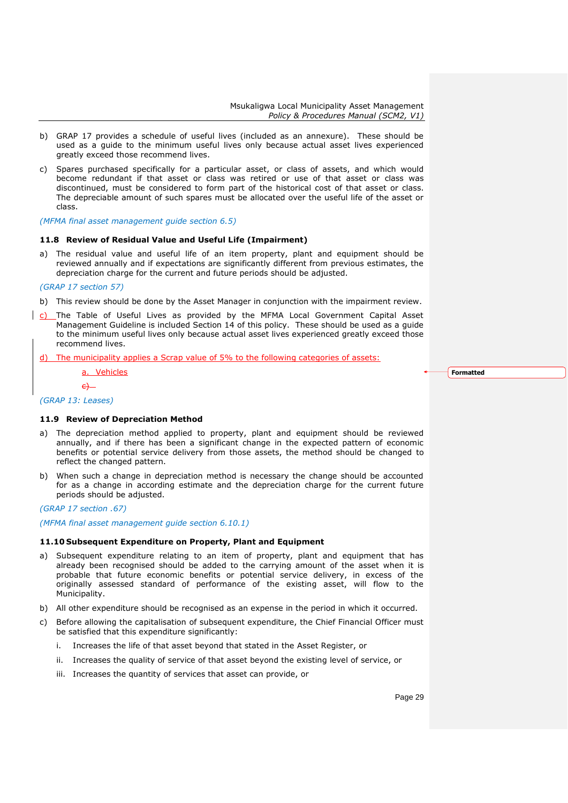- b) GRAP 17 provides a schedule of useful lives (included as an annexure). These should be used as a guide to the minimum useful lives only because actual asset lives experienced greatly exceed those recommend lives.
- c) Spares purchased specifically for a particular asset, or class of assets, and which would become redundant if that asset or class was retired or use of that asset or class was discontinued, must be considered to form part of the historical cost of that asset or class. The depreciable amount of such spares must be allocated over the useful life of the asset or class.

*(MFMA final asset management guide section 6.5)*

#### <span id="page-28-0"></span>**11.8 Review of Residual Value and Useful Life (Impairment)**

a) The residual value and useful life of an item property, plant and equipment should be reviewed annually and if expectations are significantly different from previous estimates, the depreciation charge for the current and future periods should be adjusted.

#### *(GRAP 17 section 57)*

- b) This review should be done by the Asset Manager in conjunction with the impairment review.
- $c)$  The Table of Useful Lives as provided by the MFMA Local Government Capital Asset Management Guideline is included Section 14 of this policy. These should be used as a guide to the minimum useful lives only because actual asset lives experienced greatly exceed those recommend lives.
- d) The municipality applies a Scrap value of 5% to the following categories of assets:

**Formatted**

**Vehicles** 

*(GRAP 13: Leases)*

 $\leftarrow$ 

#### <span id="page-28-1"></span>**11.9 Review of Depreciation Method**

- a) The depreciation method applied to property, plant and equipment should be reviewed annually, and if there has been a significant change in the expected pattern of economic benefits or potential service delivery from those assets, the method should be changed to reflect the changed pattern.
- b) When such a change in depreciation method is necessary the change should be accounted for as a change in according estimate and the depreciation charge for the current future periods should be adjusted.

## *(GRAP 17 section .67)*

*(MFMA final asset management guide section 6.10.1)*

#### <span id="page-28-2"></span>**11.10 Subsequent Expenditure on Property, Plant and Equipment**

- a) Subsequent expenditure relating to an item of property, plant and equipment that has already been recognised should be added to the carrying amount of the asset when it is probable that future economic benefits or potential service delivery, in excess of the originally assessed standard of performance of the existing asset, will flow to the Municipality.
- b) All other expenditure should be recognised as an expense in the period in which it occurred.
- c) Before allowing the capitalisation of subsequent expenditure, the Chief Financial Officer must be satisfied that this expenditure significantly:
	- i. Increases the life of that asset beyond that stated in the Asset Register, or
	- ii. Increases the quality of service of that asset beyond the existing level of service, or
	- iii. Increases the quantity of services that asset can provide, or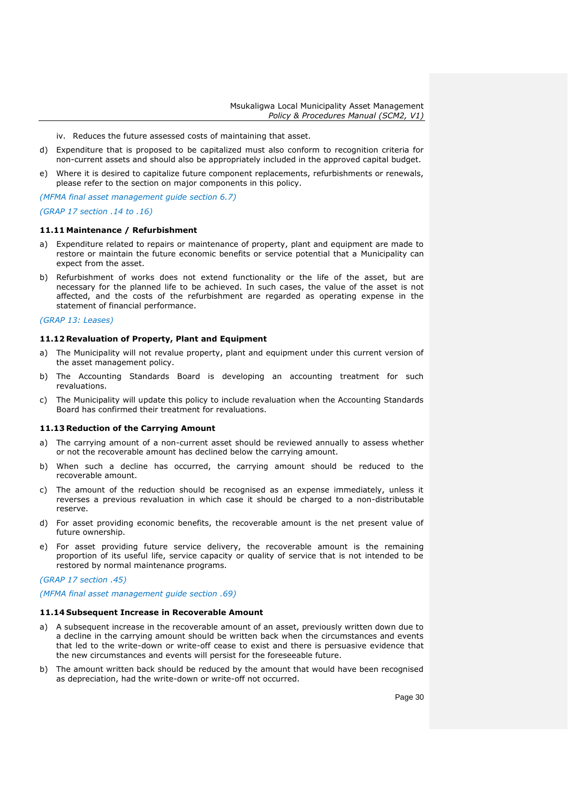- iv. Reduces the future assessed costs of maintaining that asset.
- d) Expenditure that is proposed to be capitalized must also conform to recognition criteria for non-current assets and should also be appropriately included in the approved capital budget.
- e) Where it is desired to capitalize future component replacements, refurbishments or renewals, please refer to the section on major components in this policy.

*(MFMA final asset management guide section 6.7)*

*(GRAP 17 section .14 to .16)*

#### <span id="page-29-0"></span>**11.11 Maintenance / Refurbishment**

- a) Expenditure related to repairs or maintenance of property, plant and equipment are made to restore or maintain the future economic benefits or service potential that a Municipality can expect from the asset.
- b) Refurbishment of works does not extend functionality or the life of the asset, but are necessary for the planned life to be achieved. In such cases, the value of the asset is not affected, and the costs of the refurbishment are regarded as operating expense in the statement of financial performance.

#### *(GRAP 13: Leases)*

#### <span id="page-29-1"></span>**11.12 Revaluation of Property, Plant and Equipment**

- a) The Municipality will not revalue property, plant and equipment under this current version of the asset management policy.
- b) The Accounting Standards Board is developing an accounting treatment for such revaluations.
- c) The Municipality will update this policy to include revaluation when the Accounting Standards Board has confirmed their treatment for revaluations.

#### <span id="page-29-2"></span>**11.13 Reduction of the Carrying Amount**

- a) The carrying amount of a non-current asset should be reviewed annually to assess whether or not the recoverable amount has declined below the carrying amount.
- b) When such a decline has occurred, the carrying amount should be reduced to the recoverable amount.
- c) The amount of the reduction should be recognised as an expense immediately, unless it reverses a previous revaluation in which case it should be charged to a non-distributable reserve.
- d) For asset providing economic benefits, the recoverable amount is the net present value of future ownership.
- e) For asset providing future service delivery, the recoverable amount is the remaining proportion of its useful life, service capacity or quality of service that is not intended to be restored by normal maintenance programs.

*(GRAP 17 section .45)*

*(MFMA final asset management guide section .69)*

#### <span id="page-29-3"></span>**11.14 Subsequent Increase in Recoverable Amount**

- a) A subsequent increase in the recoverable amount of an asset, previously written down due to a decline in the carrying amount should be written back when the circumstances and events that led to the write-down or write-off cease to exist and there is persuasive evidence that the new circumstances and events will persist for the foreseeable future.
- b) The amount written back should be reduced by the amount that would have been recognised as depreciation, had the write-down or write-off not occurred.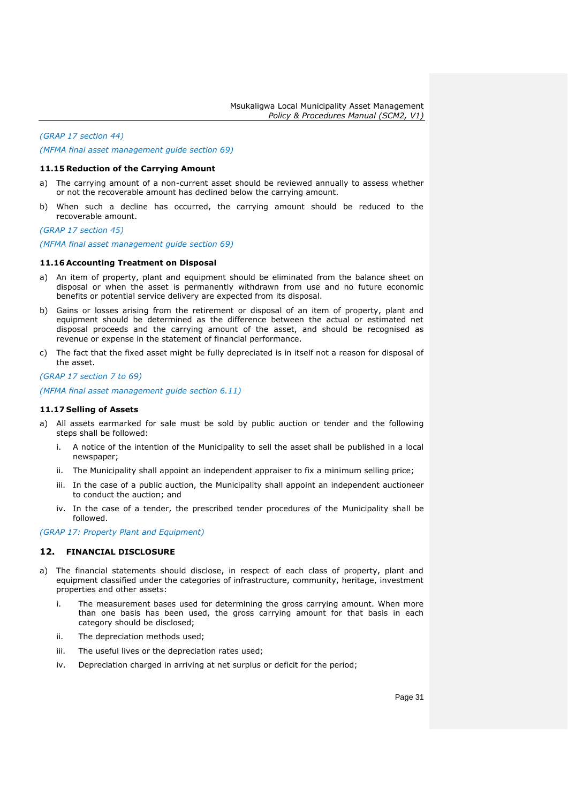*(GRAP 17 section 44) (MFMA final asset management guide section 69)*

### <span id="page-30-0"></span>**11.15 Reduction of the Carrying Amount**

- a) The carrying amount of a non-current asset should be reviewed annually to assess whether or not the recoverable amount has declined below the carrying amount.
- b) When such a decline has occurred, the carrying amount should be reduced to the recoverable amount.

*(GRAP 17 section 45)*

*(MFMA final asset management guide section 69)*

#### <span id="page-30-1"></span>**11.16 Accounting Treatment on Disposal**

- a) An item of property, plant and equipment should be eliminated from the balance sheet on disposal or when the asset is permanently withdrawn from use and no future economic benefits or potential service delivery are expected from its disposal.
- b) Gains or losses arising from the retirement or disposal of an item of property, plant and equipment should be determined as the difference between the actual or estimated net disposal proceeds and the carrying amount of the asset, and should be recognised as revenue or expense in the statement of financial performance.
- c) The fact that the fixed asset might be fully depreciated is in itself not a reason for disposal of the asset.

*(GRAP 17 section 7 to 69)*

*(MFMA final asset management guide section 6.11)*

#### <span id="page-30-2"></span>**11.17 Selling of Assets**

- a) All assets earmarked for sale must be sold by public auction or tender and the following steps shall be followed:
	- i. A notice of the intention of the Municipality to sell the asset shall be published in a local newspaper;
	- ii. The Municipality shall appoint an independent appraiser to fix a minimum selling price;
	- iii. In the case of a public auction, the Municipality shall appoint an independent auctioneer to conduct the auction; and
	- iv. In the case of a tender, the prescribed tender procedures of the Municipality shall be followed.

*(GRAP 17: Property Plant and Equipment)*

## <span id="page-30-3"></span>**12. FINANCIAL DISCLOSURE**

- a) The financial statements should disclose, in respect of each class of property, plant and equipment classified under the categories of infrastructure, community, heritage, investment properties and other assets:
	- i. The measurement bases used for determining the gross carrying amount. When more than one basis has been used, the gross carrying amount for that basis in each category should be disclosed;
	- ii. The depreciation methods used;
	- iii. The useful lives or the depreciation rates used;
	- iv. Depreciation charged in arriving at net surplus or deficit for the period;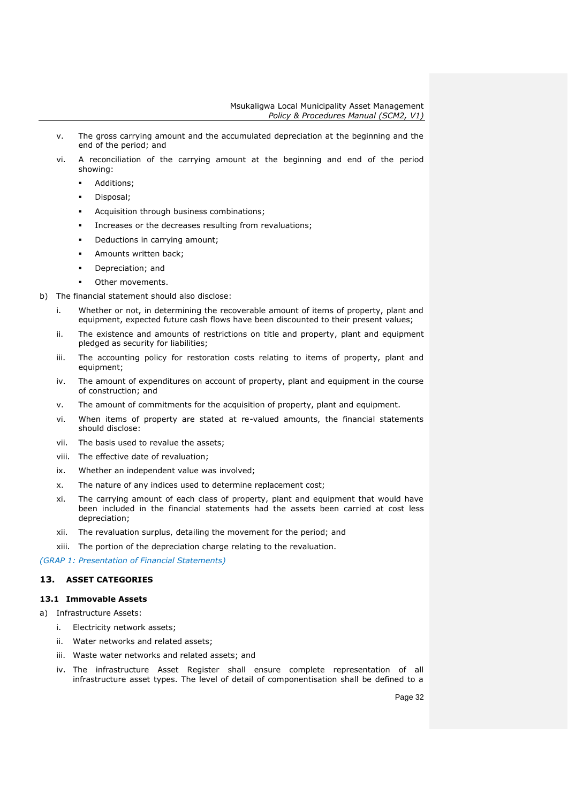- v. The gross carrying amount and the accumulated depreciation at the beginning and the end of the period; and
- vi. A reconciliation of the carrying amount at the beginning and end of the period showing:
	- Additions;
	- **Disposal**;
	- Acquisition through business combinations;
	- Increases or the decreases resulting from revaluations;
	- Deductions in carrying amount;
	- Amounts written back;
	- Depreciation; and
	- Other movements.
- b) The financial statement should also disclose:
	- i. Whether or not, in determining the recoverable amount of items of property, plant and equipment, expected future cash flows have been discounted to their present values;
	- ii. The existence and amounts of restrictions on title and property, plant and equipment pledged as security for liabilities;
	- iii. The accounting policy for restoration costs relating to items of property, plant and equipment;
	- iv. The amount of expenditures on account of property, plant and equipment in the course of construction; and
	- v. The amount of commitments for the acquisition of property, plant and equipment.
	- vi. When items of property are stated at re-valued amounts, the financial statements should disclose:
	- vii. The basis used to revalue the assets;
	- viii. The effective date of revaluation;
	- ix. Whether an independent value was involved;
	- x. The nature of any indices used to determine replacement cost;
	- xi. The carrying amount of each class of property, plant and equipment that would have been included in the financial statements had the assets been carried at cost less depreciation;
	- xii. The revaluation surplus, detailing the movement for the period; and
	- xiii. The portion of the depreciation charge relating to the revaluation.

*(GRAP 1: Presentation of Financial Statements)*

## <span id="page-31-0"></span>**13. ASSET CATEGORIES**

## <span id="page-31-1"></span>**13.1 Immovable Assets**

- a) Infrastructure Assets:
	- i. Electricity network assets;
	- ii. Water networks and related assets;
	- iii. Waste water networks and related assets; and
	- iv. The infrastructure Asset Register shall ensure complete representation of all infrastructure asset types. The level of detail of componentisation shall be defined to a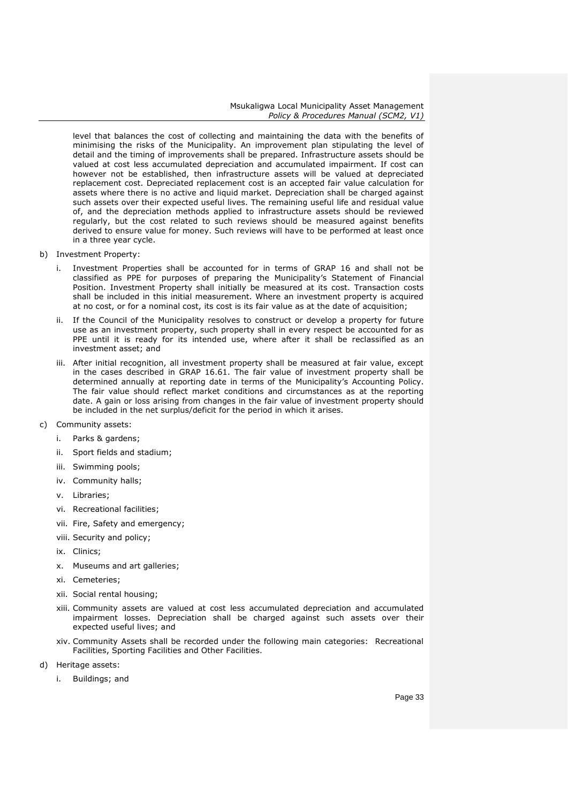level that balances the cost of collecting and maintaining the data with the benefits of minimising the risks of the Municipality. An improvement plan stipulating the level of detail and the timing of improvements shall be prepared. Infrastructure assets should be valued at cost less accumulated depreciation and accumulated impairment. If cost can however not be established, then infrastructure assets will be valued at depreciated replacement cost. Depreciated replacement cost is an accepted fair value calculation for assets where there is no active and liquid market. Depreciation shall be charged against such assets over their expected useful lives. The remaining useful life and residual value of, and the depreciation methods applied to infrastructure assets should be reviewed regularly, but the cost related to such reviews should be measured against benefits derived to ensure value for money. Such reviews will have to be performed at least once in a three year cycle.

- b) Investment Property:
	- i. Investment Properties shall be accounted for in terms of GRAP 16 and shall not be classified as PPE for purposes of preparing the Municipality's Statement of Financial Position. Investment Property shall initially be measured at its cost. Transaction costs shall be included in this initial measurement. Where an investment property is acquired at no cost, or for a nominal cost, its cost is its fair value as at the date of acquisition;
	- ii. If the Council of the Municipality resolves to construct or develop a property for future use as an investment property, such property shall in every respect be accounted for as PPE until it is ready for its intended use, where after it shall be reclassified as an investment asset; and
	- iii. After initial recognition, all investment property shall be measured at fair value, except in the cases described in GRAP 16.61. The fair value of investment property shall be determined annually at reporting date in terms of the Municipality's Accounting Policy. The fair value should reflect market conditions and circumstances as at the reporting date. A gain or loss arising from changes in the fair value of investment property should be included in the net surplus/deficit for the period in which it arises.
- c) Community assets:
	- i. Parks & gardens;
	- ii. Sport fields and stadium;
	- iii. Swimming pools;
	- iv. Community halls;
	- v. Libraries;
	- vi. Recreational facilities;
	- vii. Fire, Safety and emergency;
	- viii. Security and policy;
	- ix. Clinics;
	- x. Museums and art galleries;
	- xi. Cemeteries;
	- xii. Social rental housing;
	- xiii. Community assets are valued at cost less accumulated depreciation and accumulated impairment losses. Depreciation shall be charged against such assets over their expected useful lives; and
	- xiv. Community Assets shall be recorded under the following main categories: Recreational Facilities, Sporting Facilities and Other Facilities.
- d) Heritage assets:
	- i. Buildings; and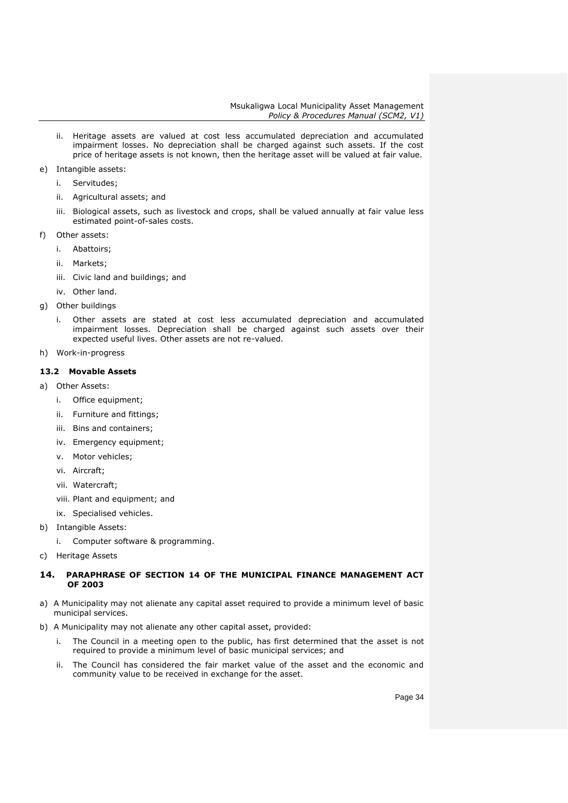- ii. Heritage assets are valued at cost less accumulated depreciation and accumulated impairment losses. No depreciation shall be charged against such assets. If the cost price of heritage assets is not known, then the heritage asset will be valued at fair value.
- e) Intangible assets:
	- i. Servitudes;
	- ii. Agricultural assets; and
	- iii. Biological assets, such as livestock and crops, shall be valued annually at fair value less estimated point-of-sales costs.
- f) Other assets:
	- i. Abattoirs;
	- ii. Markets;
	- iii. Civic land and buildings; and
	- iv. Other land.
- g) Other buildings
	- i. Other assets are stated at cost less accumulated depreciation and accumulated impairment losses. Depreciation shall be charged against such assets over their expected useful lives. Other assets are not re-valued.
- h) Work-in-progress

## <span id="page-33-0"></span>**13.2 Movable Assets**

- a) Other Assets:
	- i. Office equipment;
	- ii. Furniture and fittings;
	- iii. Bins and containers;
	- iv. Emergency equipment;
	- v. Motor vehicles;
	- vi. Aircraft;
	- vii. Watercraft;
	- viii. Plant and equipment; and
	- ix. Specialised vehicles.
- b) Intangible Assets:
	- i. Computer software & programming.
- c) Heritage Assets

## <span id="page-33-1"></span>**14. PARAPHRASE OF SECTION 14 OF THE MUNICIPAL FINANCE MANAGEMENT ACT OF 2003**

- a) A Municipality may not alienate any capital asset required to provide a minimum level of basic municipal services.
- b) A Municipality may not alienate any other capital asset, provided:
	- i. The Council in a meeting open to the public, has first determined that the asset is not required to provide a minimum level of basic municipal services; and
	- ii. The Council has considered the fair market value of the asset and the economic and community value to be received in exchange for the asset.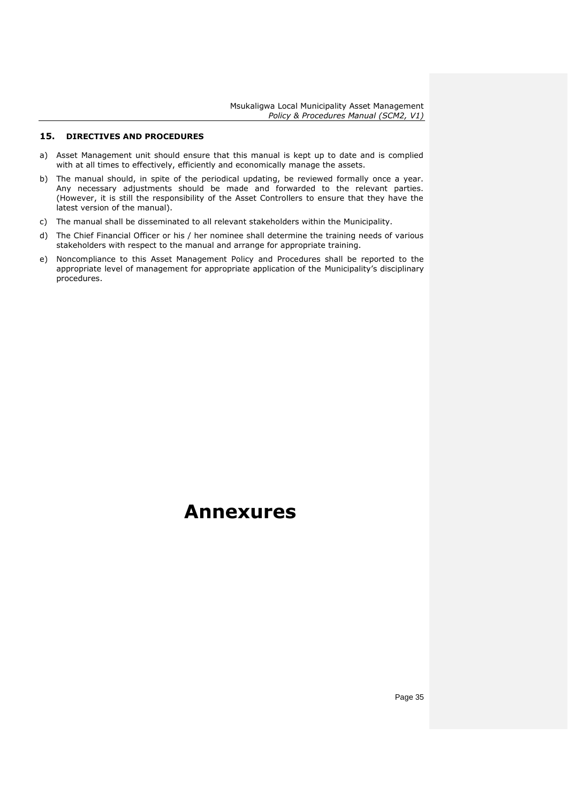## <span id="page-34-0"></span>**15. DIRECTIVES AND PROCEDURES**

- a) Asset Management unit should ensure that this manual is kept up to date and is complied with at all times to effectively, efficiently and economically manage the assets.
- b) The manual should, in spite of the periodical updating, be reviewed formally once a year. Any necessary adjustments should be made and forwarded to the relevant parties. (However, it is still the responsibility of the Asset Controllers to ensure that they have the latest version of the manual).
- c) The manual shall be disseminated to all relevant stakeholders within the Municipality.
- d) The Chief Financial Officer or his / her nominee shall determine the training needs of various stakeholders with respect to the manual and arrange for appropriate training.
- e) Noncompliance to this Asset Management Policy and Procedures shall be reported to the appropriate level of management for appropriate application of the Municipality's disciplinary procedures.

## **Annexures**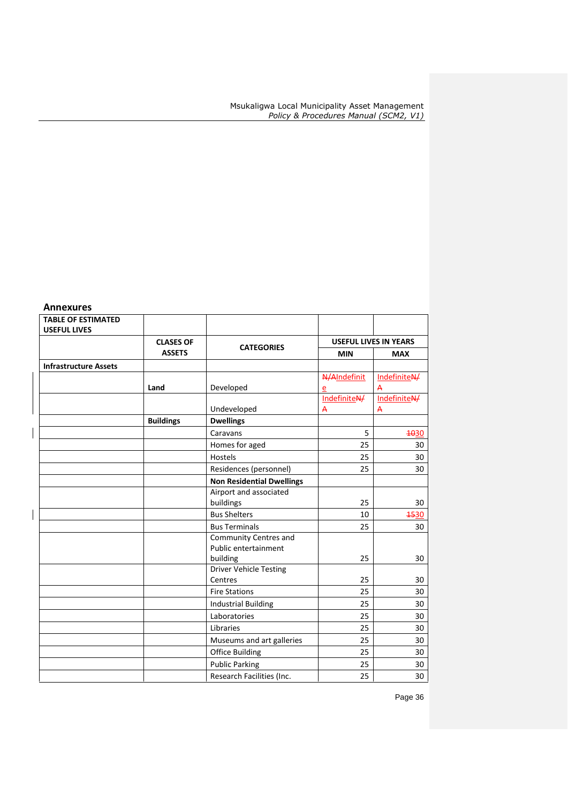## **Annexures**

| <b>TABLE OF ESTIMATED</b><br><b>USEFUL LIVES</b> |                  |                                  |                |                              |
|--------------------------------------------------|------------------|----------------------------------|----------------|------------------------------|
|                                                  | <b>CLASES OF</b> |                                  |                | <b>USEFUL LIVES IN YEARS</b> |
|                                                  | <b>ASSETS</b>    | <b>CATEGORIES</b>                | <b>MIN</b>     | <b>MAX</b>                   |
| <b>Infrastructure Assets</b>                     |                  |                                  |                |                              |
|                                                  |                  |                                  | N/AIndefinit   | IndefiniteN/                 |
|                                                  | Land             | Developed                        | e              | A                            |
|                                                  |                  |                                  | IndefiniteN/   | IndefiniteN/                 |
|                                                  |                  | Undeveloped                      | $\overline{A}$ | A                            |
|                                                  | <b>Buildings</b> | <b>Dwellings</b>                 |                |                              |
|                                                  |                  | Caravans                         | 5              | 4030                         |
|                                                  |                  | Homes for aged                   | 25             | 30                           |
|                                                  |                  | Hostels                          | 25             | 30                           |
|                                                  |                  | Residences (personnel)           | 25             | 30                           |
|                                                  |                  | <b>Non Residential Dwellings</b> |                |                              |
|                                                  |                  | Airport and associated           |                |                              |
|                                                  |                  | buildings                        | 25             | 30                           |
|                                                  |                  | <b>Bus Shelters</b>              | 10             | <b>4530</b>                  |
|                                                  |                  | <b>Bus Terminals</b>             | 25             | 30                           |
|                                                  |                  | Community Centres and            |                |                              |
|                                                  |                  | Public entertainment             |                |                              |
|                                                  |                  | building                         | 25             | 30                           |
|                                                  |                  | <b>Driver Vehicle Testing</b>    |                |                              |
|                                                  |                  | Centres                          | 25             | 30                           |
|                                                  |                  | <b>Fire Stations</b>             | 25             | 30                           |
|                                                  |                  | <b>Industrial Building</b>       | 25             | 30                           |
|                                                  |                  | Laboratories                     | 25             | 30                           |
|                                                  |                  | Libraries                        | 25             | 30                           |
|                                                  |                  | Museums and art galleries        | 25             | 30                           |
|                                                  |                  | <b>Office Building</b>           | 25             | 30                           |
|                                                  |                  | <b>Public Parking</b>            | 25             | 30                           |
|                                                  |                  | Research Facilities (Inc.        | 25             | 30                           |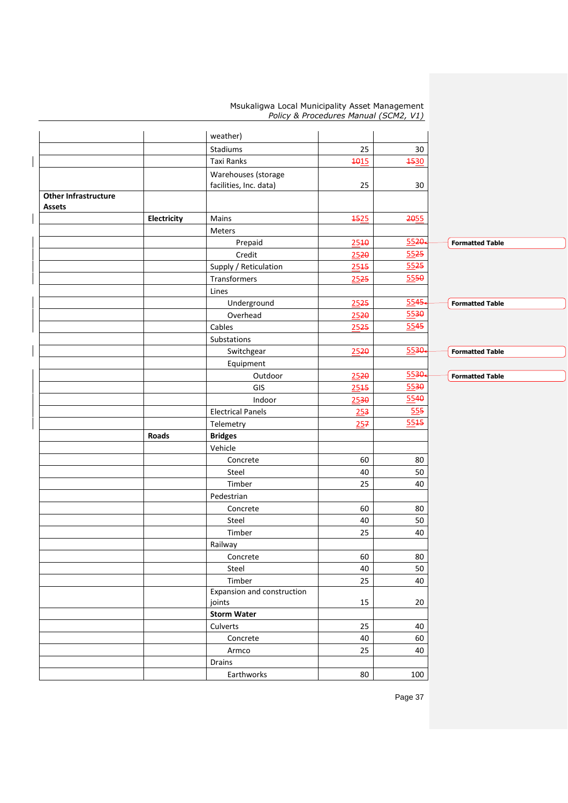|                             |             | weather)                             |             |             |                        |
|-----------------------------|-------------|--------------------------------------|-------------|-------------|------------------------|
|                             |             | Stadiums                             | 25          | 30          |                        |
|                             |             | Taxi Ranks                           | 1015        | <b>4530</b> |                        |
|                             |             | Warehouses (storage                  |             |             |                        |
|                             |             | facilities, Inc. data)               | 25          | 30          |                        |
| <b>Other Infrastructure</b> |             |                                      |             |             |                        |
| Assets                      |             |                                      |             |             |                        |
|                             | Electricity | Mains                                | <b>1525</b> | 2055        |                        |
|                             |             | Meters                               |             |             |                        |
|                             |             | Prepaid                              | 2540        | $5520 -$    | <b>Formatted Table</b> |
|                             |             | Credit                               | 2520        | 5525        |                        |
|                             |             | Supply / Reticulation                | 2545        | 5525        |                        |
|                             |             | Transformers                         | 2525        | 5550        |                        |
|                             |             | Lines                                |             |             |                        |
|                             |             | Underground                          | 2525        | $5545-$     | <b>Formatted Table</b> |
|                             |             | Overhead                             | 2520        | 5530        |                        |
|                             |             | Cables                               | 2525        | 5545        |                        |
|                             |             | Substations                          |             |             |                        |
|                             |             | Switchgear                           | 2520        | 5530        | <b>Formatted Table</b> |
|                             |             | Equipment                            |             |             |                        |
|                             |             | Outdoor                              | 2520        | 5530        | <b>Formatted Table</b> |
|                             |             | GIS                                  | 2545        | 5530        |                        |
|                             |             | Indoor                               | 2530        | 5540        |                        |
|                             |             | <b>Electrical Panels</b>             | 253         | 555         |                        |
|                             |             | Telemetry                            | 257         | 5545        |                        |
|                             | Roads       | <b>Bridges</b>                       |             |             |                        |
|                             |             | Vehicle                              |             |             |                        |
|                             |             | Concrete                             | 60          | 80          |                        |
|                             |             | Steel                                | 40          | $50\,$      |                        |
|                             |             | Timber                               | 25          | 40          |                        |
|                             |             | Pedestrian                           |             |             |                        |
|                             |             | Concrete                             | 60          | 80          |                        |
|                             |             | Steel                                | 40          | $50\,$      |                        |
|                             |             | Timber                               | 25          | 40          |                        |
|                             |             | Railway                              |             |             |                        |
|                             |             |                                      | 60          | 80          |                        |
|                             |             | Concrete<br>Steel                    | 40          | 50          |                        |
|                             |             |                                      |             |             |                        |
|                             |             | Timber<br>Expansion and construction | 25          | 40          |                        |
|                             |             | joints                               | 15          | 20          |                        |
|                             |             | <b>Storm Water</b>                   |             |             |                        |
|                             |             | Culverts                             | 25          | 40          |                        |
|                             |             | Concrete                             | 40          | 60          |                        |
|                             |             | Armco                                | 25          | 40          |                        |
|                             |             | Drains                               |             |             |                        |
|                             |             | Earthworks                           | 80          | 100         |                        |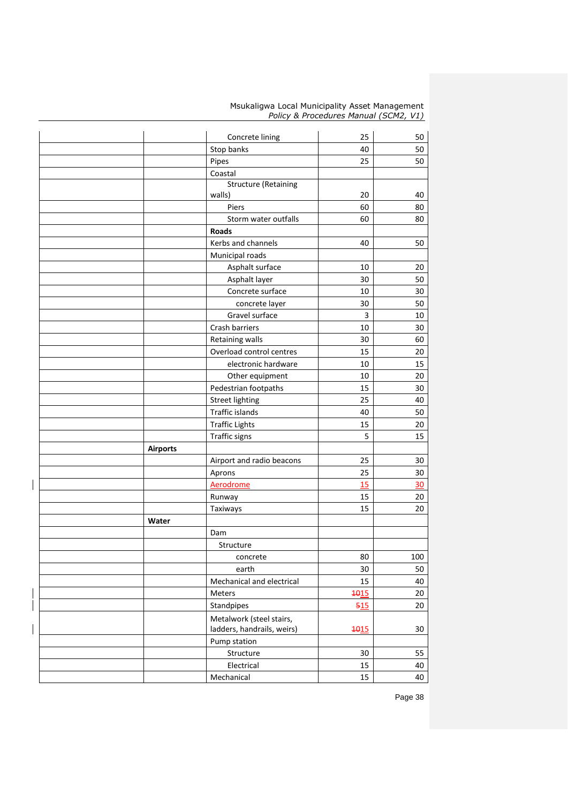|                 | Concrete lining             | 25   | 50     |
|-----------------|-----------------------------|------|--------|
|                 | Stop banks                  | 40   | 50     |
|                 | Pipes                       | 25   | 50     |
|                 | Coastal                     |      |        |
|                 | <b>Structure (Retaining</b> |      |        |
|                 | walls)                      | 20   | 40     |
|                 | Piers                       | 60   | 80     |
|                 | Storm water outfalls        | 60   | 80     |
|                 | <b>Roads</b>                |      |        |
|                 | Kerbs and channels          | 40   | 50     |
|                 | Municipal roads             |      |        |
|                 | Asphalt surface             | 10   | 20     |
|                 | Asphalt layer               | 30   | 50     |
|                 | Concrete surface            | 10   | 30     |
|                 | concrete layer              | 30   | 50     |
|                 | Gravel surface              | 3    | 10     |
|                 | Crash barriers              | 10   | 30     |
|                 | <b>Retaining walls</b>      | 30   | 60     |
|                 | Overload control centres    | 15   | 20     |
|                 | electronic hardware         | 10   | 15     |
|                 | Other equipment             | 10   | 20     |
|                 | Pedestrian footpaths        | 15   | 30     |
|                 | <b>Street lighting</b>      | 25   | 40     |
|                 | Traffic islands             | 40   | 50     |
|                 | <b>Traffic Lights</b>       | 15   | 20     |
|                 | Traffic signs               | 5    | 15     |
| <b>Airports</b> |                             |      |        |
|                 | Airport and radio beacons   | 25   | 30     |
|                 | Aprons                      | 25   | 30     |
|                 | Aerodrome                   | 15   | 30     |
|                 | Runway                      | 15   | 20     |
|                 | Taxiways                    | 15   | 20     |
| Water           |                             |      |        |
|                 | Dam                         |      |        |
|                 | Structure                   |      |        |
|                 | concrete                    | 80   | 100    |
|                 | earth                       | 30   | 50     |
|                 | Mechanical and electrical   | 15   | 40     |
|                 | Meters                      | 1015 | 20     |
|                 | Standpipes                  | 515  | 20     |
|                 | Metalwork (steel stairs,    |      |        |
|                 | ladders, handrails, weirs)  | 1015 | $30\,$ |
|                 | Pump station                |      |        |
|                 | Structure                   | 30   | 55     |
|                 | Electrical                  | 15   | 40     |
|                 | Mechanical                  | 15   | 40     |
|                 |                             |      |        |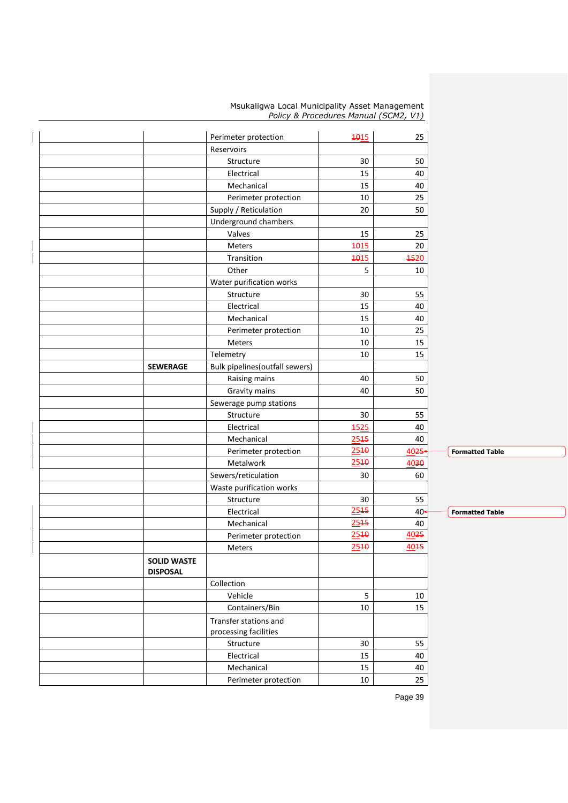|  | Msukaligwa Local Municipality Asset Management |  |  |
|--|------------------------------------------------|--|--|
|  | Policy & Procedures Manual (SCM2, V1)          |  |  |

|                                       | Perimeter protection                  | 4015        | 25          |                        |
|---------------------------------------|---------------------------------------|-------------|-------------|------------------------|
| Reservoirs                            |                                       |             |             |                        |
|                                       | Structure                             | 30          | 50          |                        |
|                                       | Electrical                            | 15          | 40          |                        |
|                                       | Mechanical                            | 15          | 40          |                        |
|                                       | Perimeter protection                  | 10          | 25          |                        |
|                                       | Supply / Reticulation                 | 20          | 50          |                        |
|                                       | Underground chambers                  |             |             |                        |
| Valves                                |                                       | 15          | 25          |                        |
| <b>Meters</b>                         |                                       | <b>1015</b> | 20          |                        |
|                                       | Transition                            | <b>1015</b> | <b>4520</b> |                        |
| Other                                 |                                       | 5           | 10          |                        |
|                                       | Water purification works              |             |             |                        |
|                                       | Structure                             | 30          | 55          |                        |
|                                       | Electrical                            | 15          | 40          |                        |
|                                       | Mechanical                            | 15          | 40          |                        |
|                                       | Perimeter protection                  | 10          | 25          |                        |
| <b>Meters</b>                         |                                       | 10          | 15          |                        |
| Telemetry                             |                                       | 10          | 15          |                        |
| <b>SEWERAGE</b>                       | Bulk pipelines (outfall sewers)       |             |             |                        |
|                                       | Raising mains                         | 40          | 50          |                        |
|                                       | Gravity mains                         | 40          | 50          |                        |
|                                       | Sewerage pump stations                |             |             |                        |
|                                       | Structure                             | 30          | 55          |                        |
|                                       | Electrical                            | 4525        | 40          |                        |
|                                       | Mechanical                            | 2545        | 40          |                        |
|                                       |                                       | 2540        | 4025        | <b>Formatted Table</b> |
|                                       | Perimeter protection<br>Metalwork     | 2540        | 4030        |                        |
|                                       |                                       |             | 60          |                        |
|                                       | Sewers/reticulation                   | 30          |             |                        |
|                                       | Waste purification works<br>Structure | 30          | 55          |                        |
|                                       |                                       | 2545        |             | <b>Formatted Table</b> |
|                                       | Electrical                            | 2545        | $40-$       |                        |
|                                       | Mechanical                            | 2540        | 40<br>4025  |                        |
|                                       | Perimeter protection                  | 2540        | 4045        |                        |
| Meters                                |                                       |             |             |                        |
| <b>SOLID WASTE</b><br><b>DISPOSAL</b> |                                       |             |             |                        |
| Collection                            |                                       |             |             |                        |
| Vehicle                               |                                       | 5           | 10          |                        |
|                                       |                                       | 10          | 15          |                        |
|                                       | Containers/Bin                        |             |             |                        |
|                                       | Transfer stations and                 |             |             |                        |
|                                       | processing facilities                 |             |             |                        |
|                                       | Structure                             | $30\,$      | 55          |                        |
|                                       | Electrical                            | 15          | 40          |                        |
|                                       | Mechanical                            | 15          | 40          |                        |
|                                       | Perimeter protection                  | 10          | 25          |                        |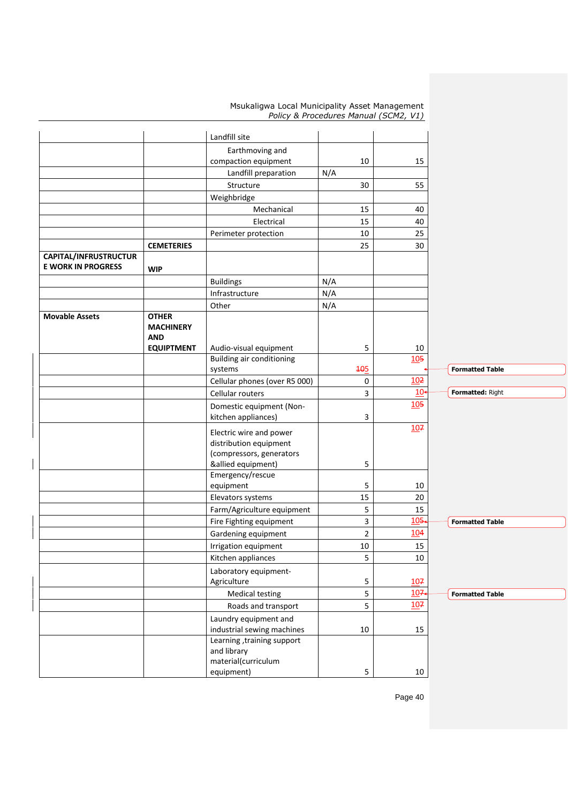|                                                    |                   | equipment)                                                 |        | 5<br>10               |                        |
|----------------------------------------------------|-------------------|------------------------------------------------------------|--------|-----------------------|------------------------|
|                                                    |                   | material(curriculum                                        |        |                       |                        |
|                                                    |                   | and library                                                |        |                       |                        |
|                                                    |                   | Learning, training support                                 |        |                       |                        |
|                                                    |                   | Laundry equipment and<br>industrial sewing machines        | 10     | 15                    |                        |
|                                                    |                   | Roads and transport                                        |        | 5                     |                        |
|                                                    |                   | <b>Medical testing</b>                                     |        | 5<br>107              | <b>Formatted Table</b> |
|                                                    |                   | Agriculture                                                |        | 5<br>107<br>107       |                        |
|                                                    |                   | Laboratory equipment-                                      |        |                       |                        |
|                                                    |                   | Kitchen appliances                                         |        | 5<br>10               |                        |
|                                                    |                   | Irrigation equipment                                       | $10\,$ | 15                    |                        |
|                                                    |                   | Gardening equipment                                        |        | $\overline{2}$<br>104 |                        |
|                                                    |                   | Fire Fighting equipment                                    |        | $105 -$<br>3          | <b>Formatted Table</b> |
|                                                    |                   | Farm/Agriculture equipment                                 |        | 5<br>15               |                        |
|                                                    |                   | Elevators systems                                          | 15     | 20                    |                        |
|                                                    |                   | equipment                                                  |        | 5<br>10               |                        |
|                                                    |                   | Emergency/rescue                                           |        |                       |                        |
|                                                    |                   | (compressors, generators<br>&allied equipment)             |        | 5                     |                        |
|                                                    |                   | distribution equipment                                     |        |                       |                        |
|                                                    |                   | Electric wire and power                                    |        | 107                   |                        |
|                                                    |                   | kitchen appliances)                                        |        | 3                     |                        |
|                                                    |                   | Domestic equipment (Non-                                   |        | 105                   |                        |
|                                                    |                   | Cellular routers                                           |        | 10 <sub>1</sub><br>3  | Formatted: Right       |
|                                                    |                   | Cellular phones (over R5 000)                              |        | 10 <sup>2</sup><br>0  |                        |
|                                                    |                   | systems                                                    | 105    |                       | <b>Formatted Table</b> |
|                                                    | <b>EQUIPTMENT</b> | Audio-visual equipment<br><b>Building air conditioning</b> |        | 5<br>10<br>105        |                        |
|                                                    | <b>AND</b>        |                                                            |        |                       |                        |
|                                                    | <b>MACHINERY</b>  |                                                            |        |                       |                        |
| <b>Movable Assets</b>                              | <b>OTHER</b>      |                                                            |        |                       |                        |
|                                                    |                   | Other                                                      | N/A    |                       |                        |
|                                                    |                   | <b>Buildings</b><br>Infrastructure                         | N/A    |                       |                        |
|                                                    | <b>WIP</b>        |                                                            | N/A    |                       |                        |
| CAPITAL/INFRUSTRUCTUR<br><b>E WORK IN PROGRESS</b> |                   |                                                            |        |                       |                        |
|                                                    | <b>CEMETERIES</b> |                                                            | 25     | 30                    |                        |
|                                                    |                   | Perimeter protection                                       | 10     | 25                    |                        |
|                                                    |                   | Electrical                                                 | 15     | 40                    |                        |
|                                                    |                   | Mechanical                                                 | 15     | 40                    |                        |
|                                                    |                   | Weighbridge                                                |        |                       |                        |
|                                                    |                   | Structure                                                  | 30     | 55                    |                        |
|                                                    |                   | Landfill preparation                                       | N/A    |                       |                        |
|                                                    |                   | compaction equipment                                       | 10     | 15                    |                        |
|                                                    |                   | Earthmoving and                                            |        |                       |                        |
|                                                    |                   | Landfill site                                              |        |                       |                        |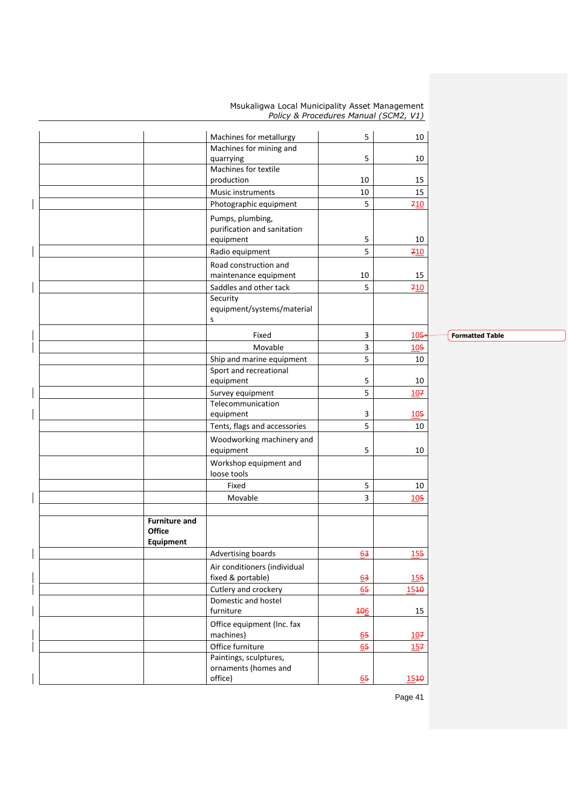|                                                           | Machines for metallurgy                         | 5          | 10      |
|-----------------------------------------------------------|-------------------------------------------------|------------|---------|
|                                                           | Machines for mining and                         |            |         |
|                                                           | quarrying                                       | 5          | 10      |
|                                                           | Machines for textile                            |            |         |
|                                                           | production                                      | 10         | 15      |
|                                                           | Music instruments                               | 10<br>5    | 15      |
|                                                           | Photographic equipment                          |            | 710     |
|                                                           | Pumps, plumbing,<br>purification and sanitation |            |         |
|                                                           | equipment                                       | 5          | 10      |
|                                                           | Radio equipment                                 | 5          | 710     |
|                                                           | Road construction and<br>maintenance equipment  | 10         | 15      |
|                                                           | Saddles and other tack                          | 5          | 710     |
|                                                           | Security<br>equipment/systems/material<br>S     |            |         |
|                                                           | Fixed                                           | 3          | $105 -$ |
|                                                           | Movable                                         | 3          | 105     |
|                                                           | Ship and marine equipment                       | 5          | 10      |
|                                                           | Sport and recreational<br>equipment             | 5          | 10      |
|                                                           | Survey equipment                                | 5          | 107     |
|                                                           | Telecommunication                               |            |         |
|                                                           | equipment                                       | 3          | 105     |
|                                                           | Tents, flags and accessories                    | 5          | 10      |
|                                                           | Woodworking machinery and<br>equipment          | 5          | 10      |
|                                                           | Workshop equipment and<br>loose tools           |            |         |
|                                                           | Fixed                                           | 5          | 10      |
|                                                           | Movable                                         | 3          | 105     |
|                                                           |                                                 |            |         |
| <b>Furniture and</b><br><b>Office</b><br><b>Equipment</b> |                                                 |            |         |
|                                                           | Advertising boards                              | 63         | 155     |
|                                                           | Air conditioners (individual                    |            |         |
|                                                           | fixed & portable)                               | 63         | 155     |
|                                                           | Cutlery and crockery                            | 65         | 1540    |
|                                                           | Domestic and hostel                             |            |         |
|                                                           | furniture                                       | <b>106</b> | 15      |
|                                                           | Office equipment (Inc. fax<br>machines)         | 65         | 107     |
|                                                           | Office furniture                                | 65         | 157     |
|                                                           | Paintings, sculptures,<br>ornaments (homes and  |            |         |
|                                                           | office)                                         | 65         | 1540    |
|                                                           |                                                 |            |         |

**Formatted Table**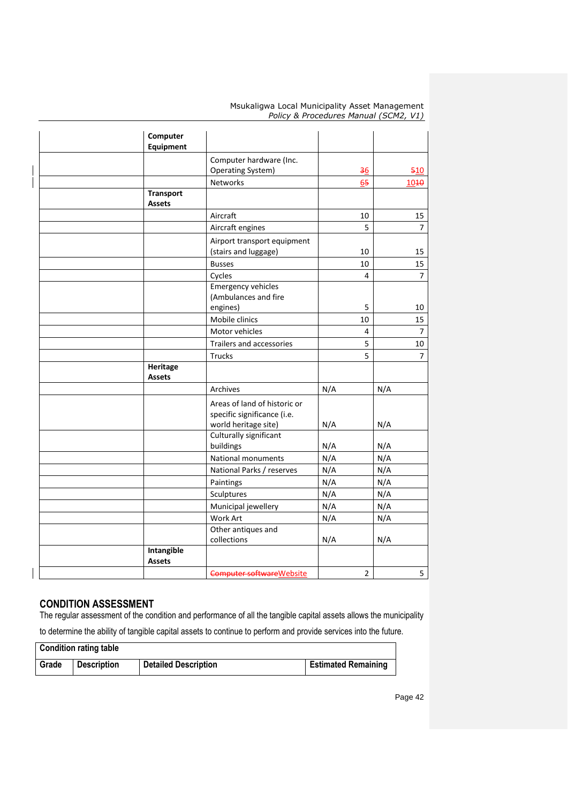| Computer<br><b>Equipment</b> |                                                                                     |                |                |
|------------------------------|-------------------------------------------------------------------------------------|----------------|----------------|
|                              | Computer hardware (Inc.                                                             |                |                |
|                              | <b>Operating System)</b>                                                            | $\frac{36}{5}$ | 510            |
|                              | <b>Networks</b>                                                                     | 65             | 1040           |
| <b>Transport</b>             |                                                                                     |                |                |
| <b>Assets</b>                |                                                                                     |                |                |
|                              | Aircraft                                                                            | 10             | 15             |
|                              | Aircraft engines                                                                    | 5              | 7 <sup>1</sup> |
|                              | Airport transport equipment<br>(stairs and luggage)                                 | 10             | 15             |
|                              | <b>Busses</b>                                                                       | 10             | 15             |
|                              | Cycles                                                                              | 4              | $\overline{7}$ |
|                              | <b>Emergency vehicles</b><br>(Ambulances and fire                                   |                |                |
|                              | engines)                                                                            | 5              | 10             |
|                              | Mobile clinics                                                                      | 10             | 15             |
|                              | Motor vehicles                                                                      | 4              | $\overline{7}$ |
|                              | Trailers and accessories                                                            | 5              | 10             |
|                              | <b>Trucks</b>                                                                       | 5              | $\overline{7}$ |
| <b>Heritage</b>              |                                                                                     |                |                |
| <b>Assets</b>                |                                                                                     |                |                |
|                              | Archives                                                                            | N/A            | N/A            |
|                              | Areas of land of historic or<br>specific significance (i.e.<br>world heritage site) | N/A            | N/A            |
|                              | Culturally significant                                                              |                |                |
|                              | buildings                                                                           | N/A            | N/A            |
|                              | National monuments                                                                  | N/A            | N/A            |
|                              | National Parks / reserves                                                           | N/A            | N/A            |
|                              | Paintings                                                                           | N/A            | N/A            |
|                              | Sculptures                                                                          | N/A            | N/A            |
|                              | Municipal jewellery                                                                 | N/A            | N/A            |
|                              | Work Art                                                                            | N/A            | N/A            |
|                              | Other antiques and                                                                  |                |                |
|                              | collections                                                                         | N/A            | N/A            |
| Intangible<br><b>Assets</b>  |                                                                                     |                |                |
|                              | Computer software Website                                                           | $\overline{2}$ | 5              |
|                              |                                                                                     |                |                |

## **CONDITION ASSESSMENT**

The regular assessment of the condition and performance of all the tangible capital assets allows the municipality to determine the ability of tangible capital assets to continue to perform and provide services into the future.

| <b>Condition rating table</b> |                    |                             |                            |  |
|-------------------------------|--------------------|-----------------------------|----------------------------|--|
| Grade                         | <b>Description</b> | <b>Detailed Description</b> | <b>Estimated Remaining</b> |  |